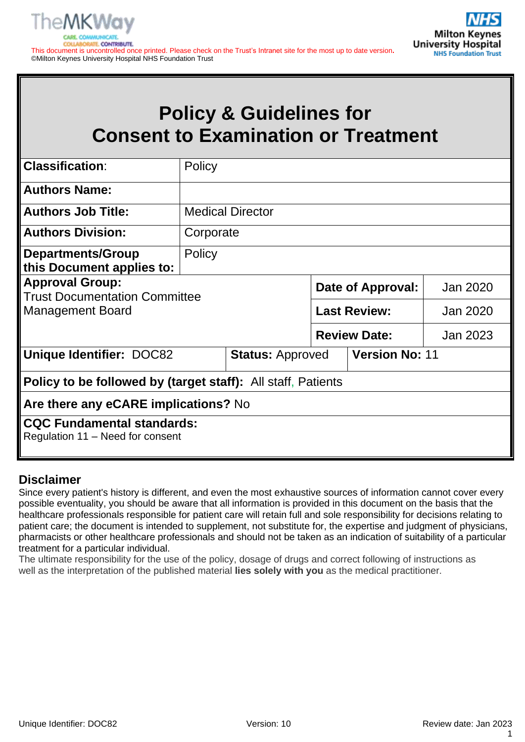# **Policy & Guidelines for Consent to Examination or Treatment**

| <b>Classification:</b>                                                | Policy                  |                         |                       |                     |          |
|-----------------------------------------------------------------------|-------------------------|-------------------------|-----------------------|---------------------|----------|
| <b>Authors Name:</b>                                                  |                         |                         |                       |                     |          |
| <b>Authors Job Title:</b>                                             | <b>Medical Director</b> |                         |                       |                     |          |
| <b>Authors Division:</b>                                              | Corporate               |                         |                       |                     |          |
| <b>Departments/Group</b><br>this Document applies to:                 | Policy                  |                         |                       |                     |          |
| <b>Approval Group:</b><br><b>Trust Documentation Committee</b>        |                         |                         | Date of Approval:     | Jan 2020            |          |
| <b>Management Board</b>                                               |                         |                         |                       | <b>Last Review:</b> | Jan 2020 |
|                                                                       |                         |                         | <b>Review Date:</b>   | Jan 2023            |          |
| <b>Unique Identifier: DOC82</b>                                       |                         | <b>Status: Approved</b> | <b>Version No: 11</b> |                     |          |
| <b>Policy to be followed by (target staff):</b> All staff, Patients   |                         |                         |                       |                     |          |
| Are there any eCARE implications? No                                  |                         |                         |                       |                     |          |
| <b>CQC Fundamental standards:</b><br>Regulation 11 – Need for consent |                         |                         |                       |                     |          |

### **Disclaimer**

Since every patient's history is different, and even the most exhaustive sources of information cannot cover every possible eventuality, you should be aware that all information is provided in this document on the basis that the healthcare professionals responsible for patient care will retain full and sole responsibility for decisions relating to patient care; the document is intended to supplement, not substitute for, the expertise and judgment of physicians, pharmacists or other healthcare professionals and should not be taken as an indication of suitability of a particular treatment for a particular individual.

The ultimate responsibility for the use of the policy, dosage of drugs and correct following of instructions as well as the interpretation of the published material **lies solely with you** as the medical practitioner.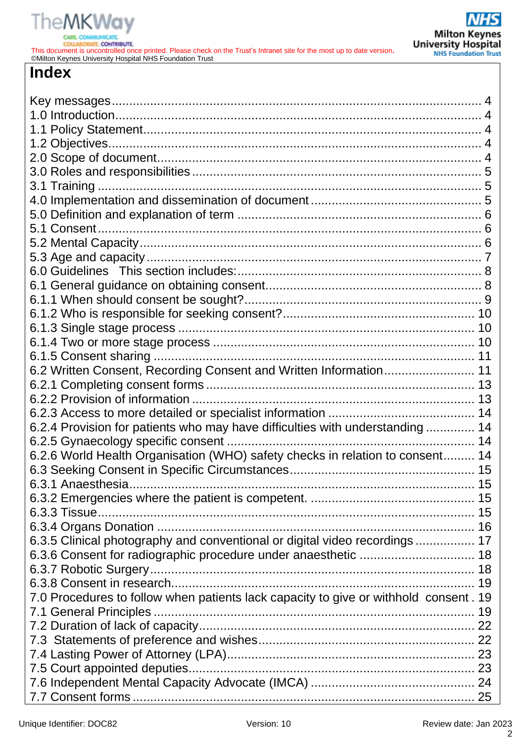

CARE, CO COLLABORATE, CONTRIBUTE.

This document is uncontrolled once printed. Please check on the Trust's Intranet site for the most up to date version**.** ©Milton Keynes University Hospital NHS Foundation Trust

# **Index**

| 6.2 Written Consent, Recording Consent and Written Information 11                    |    |
|--------------------------------------------------------------------------------------|----|
|                                                                                      |    |
|                                                                                      |    |
|                                                                                      |    |
| 6.2.4 Provision for patients who may have difficulties with understanding  14        |    |
|                                                                                      |    |
| 6.2.6 World Health Organisation (WHO) safety checks in relation to consent 14        |    |
|                                                                                      |    |
| 6.3.1 Anaesthesia.                                                                   | 15 |
|                                                                                      |    |
|                                                                                      |    |
|                                                                                      |    |
| 6.3.5 Clinical photography and conventional or digital video recordings  17          |    |
|                                                                                      |    |
|                                                                                      |    |
|                                                                                      |    |
| 7.0 Procedures to follow when patients lack capacity to give or withhold consent. 19 |    |
|                                                                                      |    |
|                                                                                      |    |
|                                                                                      |    |
|                                                                                      |    |
|                                                                                      |    |
|                                                                                      |    |
|                                                                                      |    |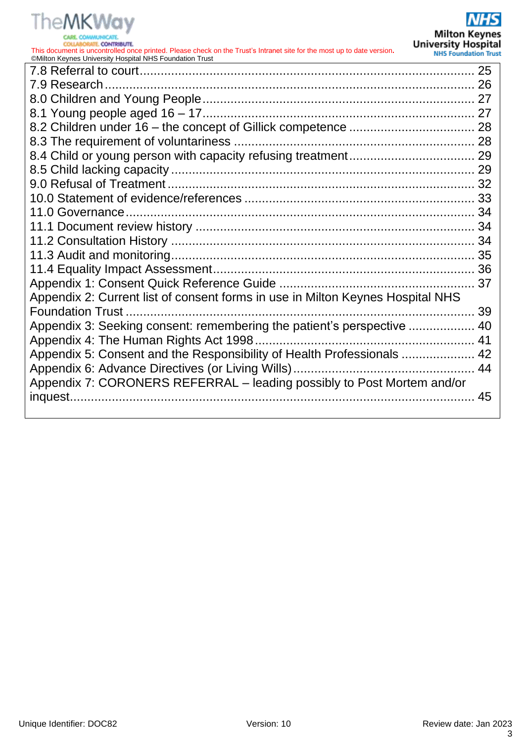# TheMKWay **CARE CO**

COLLABORATE, CONTRIBUTE. This document is uncontrolled once printed. Please check on the Trust's Intranet site for the most up to date version**.** ©Milton Keynes University Hospital NHS Foundation Trust

| Appendix 2: Current list of consent forms in use in Milton Keynes Hospital NHS |  |
|--------------------------------------------------------------------------------|--|
|                                                                                |  |
| Appendix 3: Seeking consent: remembering the patient's perspective  40         |  |
|                                                                                |  |
| Appendix 5: Consent and the Responsibility of Health Professionals  42         |  |
|                                                                                |  |
| Appendix 7: CORONERS REFERRAL - leading possibly to Post Mortem and/or         |  |
|                                                                                |  |
|                                                                                |  |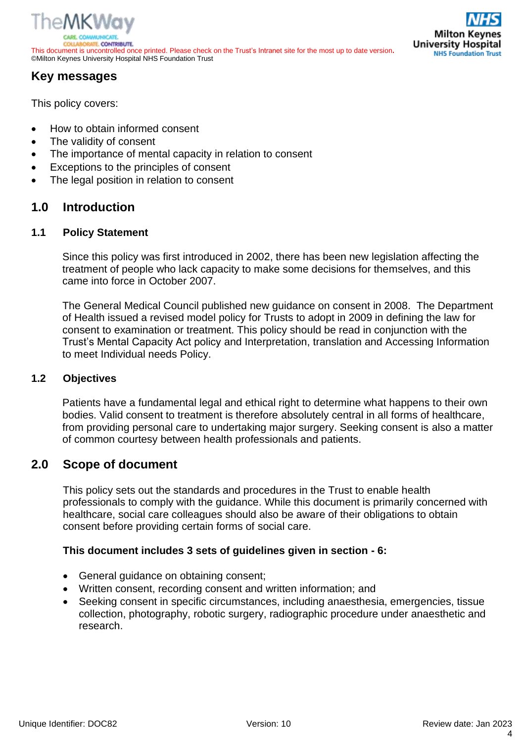



### <span id="page-3-0"></span>**Key messages**

This policy covers:

- How to obtain informed consent
- The validity of consent
- The importance of mental capacity in relation to consent
- Exceptions to the principles of consent
- The legal position in relation to consent

### <span id="page-3-1"></span>**1.0 Introduction**

### <span id="page-3-2"></span>**1.1 Policy Statement**

Since this policy was first introduced in 2002, there has been new legislation affecting the treatment of people who lack capacity to make some decisions for themselves, and this came into force in October 2007.

The General Medical Council published new guidance on consent in 2008. The Department of Health issued a revised model policy for Trusts to adopt in 2009 in defining the law for consent to examination or treatment. This policy should be read in conjunction with the Trust's Mental Capacity Act policy and Interpretation, translation and Accessing Information to meet Individual needs Policy.

### <span id="page-3-3"></span>**1.2 Objectives**

Patients have a fundamental legal and ethical right to determine what happens to their own bodies. Valid consent to treatment is therefore absolutely central in all forms of healthcare, from providing personal care to undertaking major surgery. Seeking consent is also a matter of common courtesy between health professionals and patients.

### <span id="page-3-4"></span>**2.0 Scope of document**

This policy sets out the standards and procedures in the Trust to enable health professionals to comply with the guidance. While this document is primarily concerned with healthcare, social care colleagues should also be aware of their obligations to obtain consent before providing certain forms of social care.

### **This document includes 3 sets of guidelines given in section - 6:**

- General guidance on obtaining consent;
- Written consent, recording consent and written information; and
- Seeking consent in specific circumstances, including anaesthesia, emergencies, tissue collection, photography, robotic surgery, radiographic procedure under anaesthetic and research.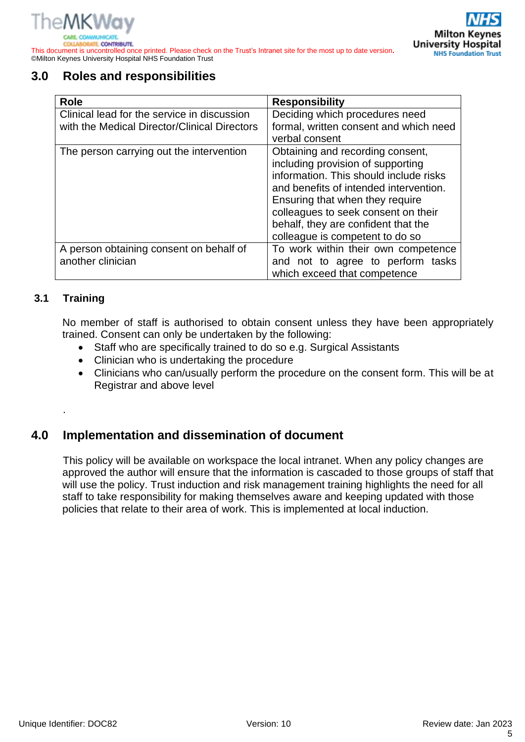# <span id="page-4-0"></span>**3.0 Roles and responsibilities**

| <b>Role</b>                                  | <b>Responsibility</b>                  |
|----------------------------------------------|----------------------------------------|
| Clinical lead for the service in discussion  | Deciding which procedures need         |
| with the Medical Director/Clinical Directors | formal, written consent and which need |
|                                              | verbal consent                         |
| The person carrying out the intervention     | Obtaining and recording consent,       |
|                                              | including provision of supporting      |
|                                              | information. This should include risks |
|                                              | and benefits of intended intervention. |
|                                              | Ensuring that when they require        |
|                                              | colleagues to seek consent on their    |
|                                              | behalf, they are confident that the    |
|                                              | colleague is competent to do so        |
| A person obtaining consent on behalf of      | To work within their own competence    |
| another clinician                            | and not to agree to perform tasks      |
|                                              | which exceed that competence           |

### <span id="page-4-1"></span>**3.1 Training**

.

No member of staff is authorised to obtain consent unless they have been appropriately trained. Consent can only be undertaken by the following:

- Staff who are specifically trained to do so e.g. Surgical Assistants
- Clinician who is undertaking the procedure
- Clinicians who can/usually perform the procedure on the consent form. This will be at Registrar and above level

### <span id="page-4-2"></span>**4.0 Implementation and dissemination of document**

This policy will be available on workspace the local intranet. When any policy changes are approved the author will ensure that the information is cascaded to those groups of staff that will use the policy. Trust induction and risk management training highlights the need for all staff to take responsibility for making themselves aware and keeping updated with those policies that relate to their area of work. This is implemented at local induction.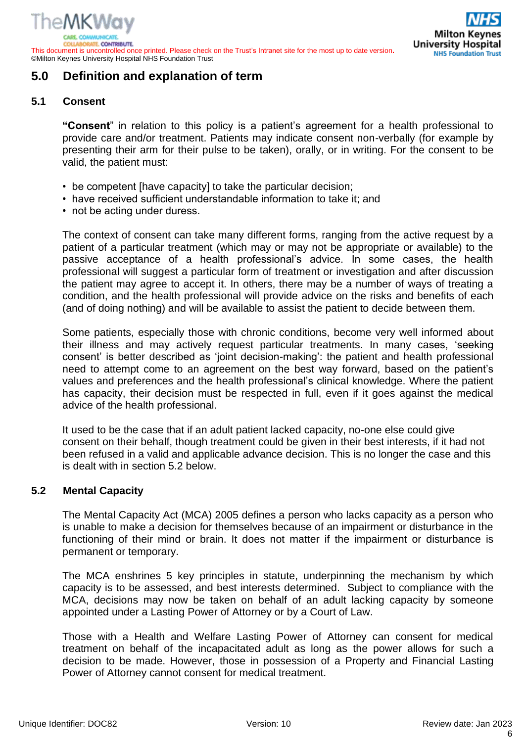

## <span id="page-5-0"></span>**5.0 Definition and explanation of term**

### <span id="page-5-1"></span>**5.1 Consent**

**"Consent**" in relation to this policy is a patient's agreement for a health professional to provide care and/or treatment. Patients may indicate consent non-verbally (for example by presenting their arm for their pulse to be taken), orally, or in writing. For the consent to be valid, the patient must:

- be competent [have capacity] to take the particular decision;
- have received sufficient understandable information to take it; and
- not be acting under duress.

The context of consent can take many different forms, ranging from the active request by a patient of a particular treatment (which may or may not be appropriate or available) to the passive acceptance of a health professional's advice. In some cases, the health professional will suggest a particular form of treatment or investigation and after discussion the patient may agree to accept it. In others, there may be a number of ways of treating a condition, and the health professional will provide advice on the risks and benefits of each (and of doing nothing) and will be available to assist the patient to decide between them.

Some patients, especially those with chronic conditions, become very well informed about their illness and may actively request particular treatments. In many cases, 'seeking consent' is better described as 'joint decision-making': the patient and health professional need to attempt come to an agreement on the best way forward, based on the patient's values and preferences and the health professional's clinical knowledge. Where the patient has capacity, their decision must be respected in full, even if it goes against the medical advice of the health professional.

It used to be the case that if an adult patient lacked capacity, no-one else could give consent on their behalf, though treatment could be given in their best interests, if it had not been refused in a valid and applicable advance decision. This is no longer the case and this is dealt with in section 5.2 below.

### <span id="page-5-2"></span>**5.2 Mental Capacity**

The Mental Capacity Act (MCA) 2005 defines a person who lacks capacity as a person who is unable to make a decision for themselves because of an impairment or disturbance in the functioning of their mind or brain. It does not matter if the impairment or disturbance is permanent or temporary.

The MCA enshrines 5 key principles in statute, underpinning the mechanism by which capacity is to be assessed, and best interests determined. Subject to compliance with the MCA, decisions may now be taken on behalf of an adult lacking capacity by someone appointed under a Lasting Power of Attorney or by a Court of Law.

Those with a Health and Welfare Lasting Power of Attorney can consent for medical treatment on behalf of the incapacitated adult as long as the power allows for such a decision to be made. However, those in possession of a Property and Financial Lasting Power of Attorney cannot consent for medical treatment.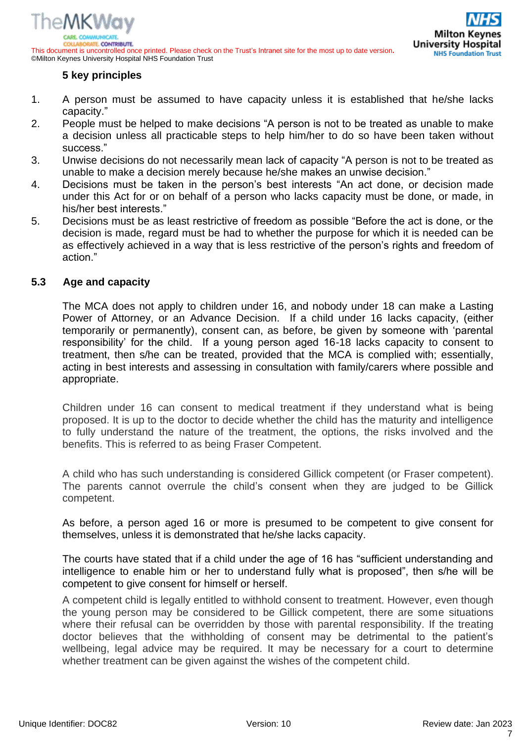

ORATE, CONTRIBUTE,

This document is uncontrolled once printed. Please check on the Trust's Intranet site for the most up to date version**.** ©Milton Keynes University Hospital NHS Foundation Trust



### **5 key principles**

- 1. A person must be assumed to have capacity unless it is established that he/she lacks capacity."
- 2. People must be helped to make decisions "A person is not to be treated as unable to make a decision unless all practicable steps to help him/her to do so have been taken without success."
- 3. Unwise decisions do not necessarily mean lack of capacity "A person is not to be treated as unable to make a decision merely because he/she makes an unwise decision."
- 4. Decisions must be taken in the person's best interests "An act done, or decision made under this Act for or on behalf of a person who lacks capacity must be done, or made, in his/her best interests."
- 5. Decisions must be as least restrictive of freedom as possible "Before the act is done, or the decision is made, regard must be had to whether the purpose for which it is needed can be as effectively achieved in a way that is less restrictive of the person's rights and freedom of action."

#### <span id="page-6-0"></span>**5.3 Age and capacity**

The MCA does not apply to children under 16, and nobody under 18 can make a Lasting Power of Attorney, or an Advance Decision. If a child under 16 lacks capacity, (either temporarily or permanently), consent can, as before, be given by someone with 'parental responsibility' for the child. If a young person aged 16-18 lacks capacity to consent to treatment, then s/he can be treated, provided that the MCA is complied with; essentially, acting in best interests and assessing in consultation with family/carers where possible and appropriate.

Children under 16 can consent to medical treatment if they understand what is being proposed. It is up to the doctor to decide whether the child has the maturity and intelligence to fully understand the nature of the treatment, the options, the risks involved and the benefits. This is referred to as being Fraser Competent.

A child who has such understanding is considered Gillick competent (or Fraser competent). The parents cannot overrule the child's consent when they are judged to be Gillick competent.

As before, a person aged 16 or more is presumed to be competent to give consent for themselves, unless it is demonstrated that he/she lacks capacity.

The courts have stated that if a child under the age of 16 has "sufficient understanding and intelligence to enable him or her to understand fully what is proposed", then s/he will be competent to give consent for himself or herself.

A competent child is legally entitled to withhold consent to treatment. However, even though the young person may be considered to be Gillick competent, there are some situations where their refusal can be overridden by those with parental responsibility. If the treating doctor believes that the withholding of consent may be detrimental to the patient's wellbeing, legal advice may be required. It may be necessary for a court to determine whether treatment can be given against the wishes of the competent child.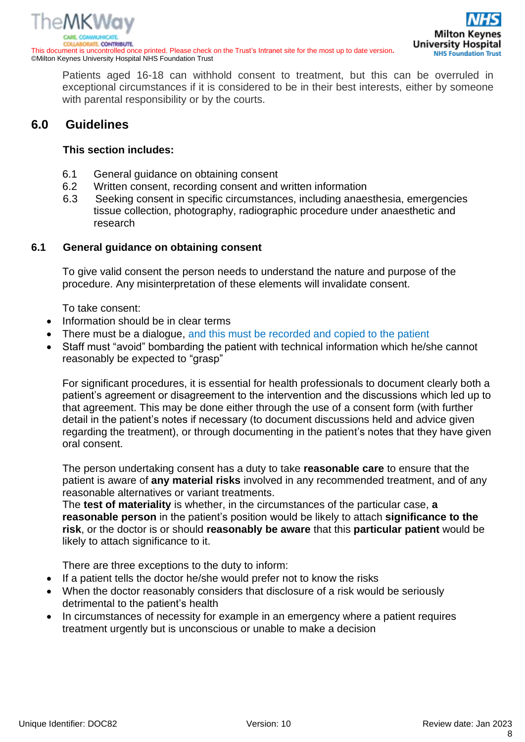

Patients aged 16-18 can withhold consent to treatment, but this can be overruled in exceptional circumstances if it is considered to be in their best interests, either by someone with parental responsibility or by the courts.

### <span id="page-7-0"></span>**6.0 Guidelines**

### **This section includes:**

- 6.1 General guidance on obtaining consent
- 6.2 Written consent, recording consent and written information
- 6.3 Seeking consent in specific circumstances, including anaesthesia, emergencies tissue collection, photography, radiographic procedure under anaesthetic and research

### <span id="page-7-1"></span>**6.1 General guidance on obtaining consent**

To give valid consent the person needs to understand the nature and purpose of the procedure. Any misinterpretation of these elements will invalidate consent.

To take consent:

- Information should be in clear terms
- There must be a dialogue, and this must be recorded and copied to the patient
- Staff must "avoid" bombarding the patient with technical information which he/she cannot reasonably be expected to "grasp"

For significant procedures, it is essential for health professionals to document clearly both a patient's agreement or disagreement to the intervention and the discussions which led up to that agreement. This may be done either through the use of a consent form (with further detail in the patient's notes if necessary (to document discussions held and advice given regarding the treatment), or through documenting in the patient's notes that they have given oral consent.

The person undertaking consent has a duty to take **reasonable care** to ensure that the patient is aware of **any material risks** involved in any recommended treatment, and of any reasonable alternatives or variant treatments.

The **test of materiality** is whether, in the circumstances of the particular case, **a reasonable person** in the patient's position would be likely to attach **significance to the risk**, or the doctor is or should **reasonably be aware** that this **particular patient** would be likely to attach significance to it.

There are three exceptions to the duty to inform:

- If a patient tells the doctor he/she would prefer not to know the risks
- When the doctor reasonably considers that disclosure of a risk would be seriously detrimental to the patient's health
- In circumstances of necessity for example in an emergency where a patient requires treatment urgently but is unconscious or unable to make a decision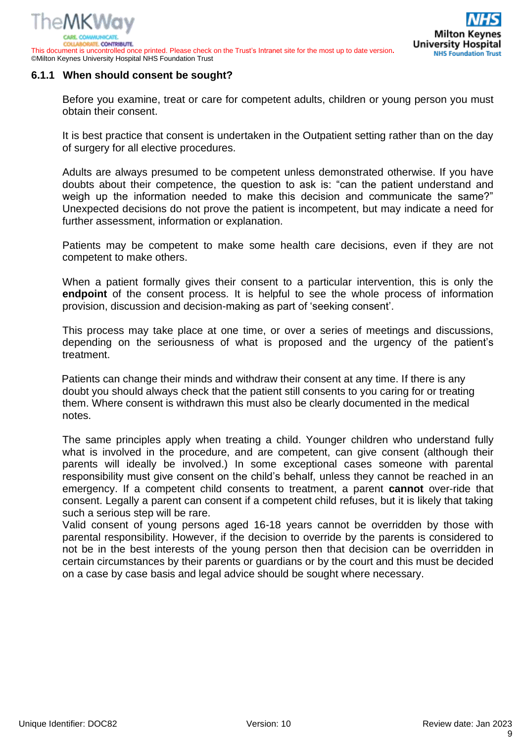



### <span id="page-8-0"></span>**6.1.1 When should consent be sought?**

Before you examine, treat or care for competent adults, children or young person you must obtain their consent.

It is best practice that consent is undertaken in the Outpatient setting rather than on the day of surgery for all elective procedures.

Adults are always presumed to be competent unless demonstrated otherwise. If you have doubts about their competence, the question to ask is: "can the patient understand and weigh up the information needed to make this decision and communicate the same?" Unexpected decisions do not prove the patient is incompetent, but may indicate a need for further assessment, information or explanation.

Patients may be competent to make some health care decisions, even if they are not competent to make others.

When a patient formally gives their consent to a particular intervention, this is only the **endpoint** of the consent process. It is helpful to see the whole process of information provision, discussion and decision-making as part of 'seeking consent'.

This process may take place at one time, or over a series of meetings and discussions, depending on the seriousness of what is proposed and the urgency of the patient's treatment.

 Patients can change their minds and withdraw their consent at any time. If there is any doubt you should always check that the patient still consents to you caring for or treating them. Where consent is withdrawn this must also be clearly documented in the medical notes.

The same principles apply when treating a child. Younger children who understand fully what is involved in the procedure, and are competent, can give consent (although their parents will ideally be involved.) In some exceptional cases someone with parental responsibility must give consent on the child's behalf, unless they cannot be reached in an emergency. If a competent child consents to treatment, a parent **cannot** over-ride that consent. Legally a parent can consent if a competent child refuses, but it is likely that taking such a serious step will be rare.

Valid consent of young persons aged 16-18 years cannot be overridden by those with parental responsibility. However, if the decision to override by the parents is considered to not be in the best interests of the young person then that decision can be overridden in certain circumstances by their parents or guardians or by the court and this must be decided on a case by case basis and legal advice should be sought where necessary.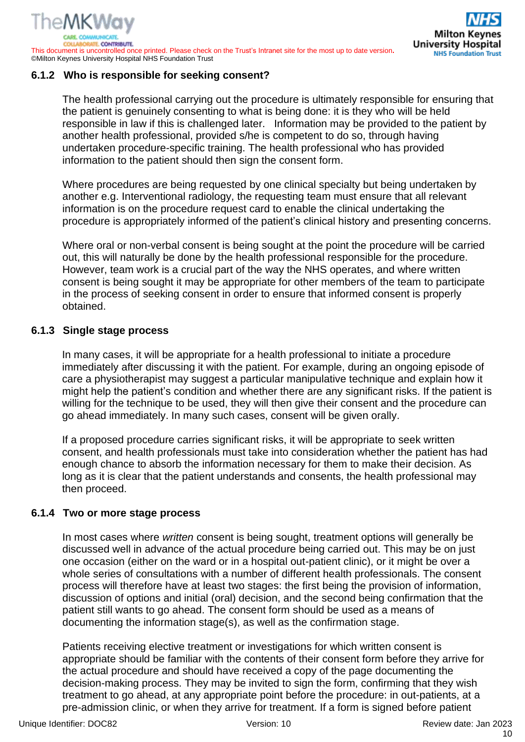



### <span id="page-9-0"></span>**6.1.2 Who is responsible for seeking consent?**

The health professional carrying out the procedure is ultimately responsible for ensuring that the patient is genuinely consenting to what is being done: it is they who will be held responsible in law if this is challenged later. Information may be provided to the patient by another health professional, provided s/he is competent to do so, through having undertaken procedure-specific training. The health professional who has provided information to the patient should then sign the consent form.

Where procedures are being requested by one clinical specialty but being undertaken by another e.g. Interventional radiology, the requesting team must ensure that all relevant information is on the procedure request card to enable the clinical undertaking the procedure is appropriately informed of the patient's clinical history and presenting concerns.

Where oral or non-verbal consent is being sought at the point the procedure will be carried out, this will naturally be done by the health professional responsible for the procedure. However, team work is a crucial part of the way the NHS operates, and where written consent is being sought it may be appropriate for other members of the team to participate in the process of seeking consent in order to ensure that informed consent is properly obtained.

### <span id="page-9-1"></span>**6.1.3 Single stage process**

In many cases, it will be appropriate for a health professional to initiate a procedure immediately after discussing it with the patient. For example, during an ongoing episode of care a physiotherapist may suggest a particular manipulative technique and explain how it might help the patient's condition and whether there are any significant risks. If the patient is willing for the technique to be used, they will then give their consent and the procedure can go ahead immediately. In many such cases, consent will be given orally.

If a proposed procedure carries significant risks, it will be appropriate to seek written consent, and health professionals must take into consideration whether the patient has had enough chance to absorb the information necessary for them to make their decision. As long as it is clear that the patient understands and consents, the health professional may then proceed.

### <span id="page-9-2"></span>**6.1.4 Two or more stage process**

In most cases where *written* consent is being sought, treatment options will generally be discussed well in advance of the actual procedure being carried out. This may be on just one occasion (either on the ward or in a hospital out-patient clinic), or it might be over a whole series of consultations with a number of different health professionals. The consent process will therefore have at least two stages: the first being the provision of information, discussion of options and initial (oral) decision, and the second being confirmation that the patient still wants to go ahead. The consent form should be used as a means of documenting the information stage(s), as well as the confirmation stage.

Patients receiving elective treatment or investigations for which written consent is appropriate should be familiar with the contents of their consent form before they arrive for the actual procedure and should have received a copy of the page documenting the decision-making process. They may be invited to sign the form, confirming that they wish treatment to go ahead, at any appropriate point before the procedure: in out-patients, at a pre-admission clinic, or when they arrive for treatment. If a form is signed before patient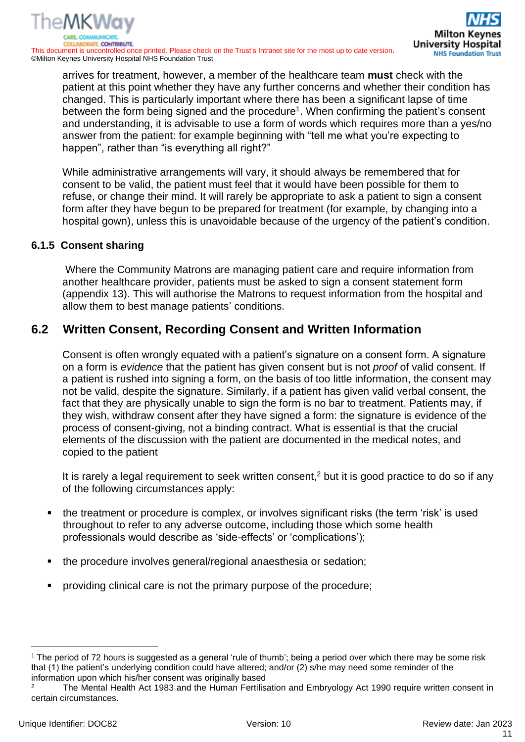

arrives for treatment, however, a member of the healthcare team **must** check with the patient at this point whether they have any further concerns and whether their condition has changed. This is particularly important where there has been a significant lapse of time between the form being signed and the procedure<sup>1</sup>. When confirming the patient's consent and understanding, it is advisable to use a form of words which requires more than a yes/no answer from the patient: for example beginning with "tell me what you're expecting to happen", rather than "is everything all right?"

While administrative arrangements will vary, it should always be remembered that for consent to be valid, the patient must feel that it would have been possible for them to refuse, or change their mind. It will rarely be appropriate to ask a patient to sign a consent form after they have begun to be prepared for treatment (for example, by changing into a hospital gown), unless this is unavoidable because of the urgency of the patient's condition.

### <span id="page-10-0"></span>**6.1.5 Consent sharing**

Where the Community Matrons are managing patient care and require information from another healthcare provider, patients must be asked to sign a consent statement form (appendix 13). This will authorise the Matrons to request information from the hospital and allow them to best manage patients' conditions.

### <span id="page-10-1"></span>**6.2 Written Consent, Recording Consent and Written Information**

Consent is often wrongly equated with a patient's signature on a consent form. A signature on a form is *evidence* that the patient has given consent but is not *proof* of valid consent. If a patient is rushed into signing a form, on the basis of too little information, the consent may not be valid, despite the signature. Similarly, if a patient has given valid verbal consent, the fact that they are physically unable to sign the form is no bar to treatment. Patients may, if they wish, withdraw consent after they have signed a form: the signature is evidence of the process of consent-giving, not a binding contract. What is essential is that the crucial elements of the discussion with the patient are documented in the medical notes, and copied to the patient

It is rarely a legal requirement to seek written consent, $2$  but it is good practice to do so if any of the following circumstances apply:

- the treatment or procedure is complex, or involves significant risks (the term 'risk' is used throughout to refer to any adverse outcome, including those which some health professionals would describe as 'side-effects' or 'complications');
- the procedure involves general/regional anaesthesia or sedation;
- providing clinical care is not the primary purpose of the procedure;

<sup>1</sup> The period of 72 hours is suggested as a general 'rule of thumb'; being a period over which there may be some risk that (1) the patient's underlying condition could have altered; and/or (2) s/he may need some reminder of the information upon which his/her consent was originally based

<sup>&</sup>lt;sup>2</sup> The Mental Health Act 1983 and the Human Fertilisation and Embryology Act 1990 require written consent in certain circumstances.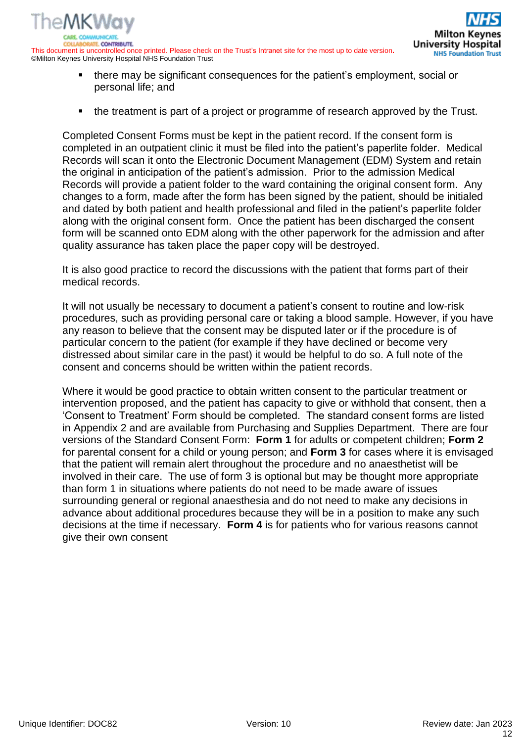



- there may be significant consequences for the patient's employment, social or personal life; and
- the treatment is part of a project or programme of research approved by the Trust.

Completed Consent Forms must be kept in the patient record. If the consent form is completed in an outpatient clinic it must be filed into the patient's paperlite folder. Medical Records will scan it onto the Electronic Document Management (EDM) System and retain the original in anticipation of the patient's admission. Prior to the admission Medical Records will provide a patient folder to the ward containing the original consent form. Any changes to a form, made after the form has been signed by the patient, should be initialed and dated by both patient and health professional and filed in the patient's paperlite folder along with the original consent form. Once the patient has been discharged the consent form will be scanned onto EDM along with the other paperwork for the admission and after quality assurance has taken place the paper copy will be destroyed.

It is also good practice to record the discussions with the patient that forms part of their medical records.

It will not usually be necessary to document a patient's consent to routine and low-risk procedures, such as providing personal care or taking a blood sample. However, if you have any reason to believe that the consent may be disputed later or if the procedure is of particular concern to the patient (for example if they have declined or become very distressed about similar care in the past) it would be helpful to do so. A full note of the consent and concerns should be written within the patient records.

Where it would be good practice to obtain written consent to the particular treatment or intervention proposed, and the patient has capacity to give or withhold that consent, then a 'Consent to Treatment' Form should be completed. The standard consent forms are listed in Appendix 2 and are available from Purchasing and Supplies Department. There are four versions of the Standard Consent Form: **Form 1** for adults or competent children; **Form 2** for parental consent for a child or young person; and **Form 3** for cases where it is envisaged that the patient will remain alert throughout the procedure and no anaesthetist will be involved in their care. The use of form 3 is optional but may be thought more appropriate than form 1 in situations where patients do not need to be made aware of issues surrounding general or regional anaesthesia and do not need to make any decisions in advance about additional procedures because they will be in a position to make any such decisions at the time if necessary. **Form 4** is for patients who for various reasons cannot give their own consent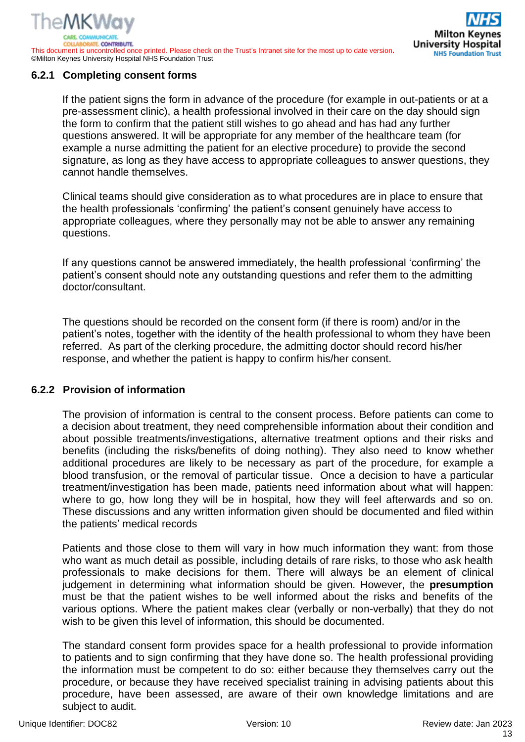

ORATE, CONTRIBUTE,

This document is uncontrolled once printed. Please check on the Trust's Intranet site for the most up to date version**.** ©Milton Keynes University Hospital NHS Foundation Trust

### <span id="page-12-0"></span>**6.2.1 Completing consent forms**

If the patient signs the form in advance of the procedure (for example in out-patients or at a pre-assessment clinic), a health professional involved in their care on the day should sign the form to confirm that the patient still wishes to go ahead and has had any further questions answered. It will be appropriate for any member of the healthcare team (for example a nurse admitting the patient for an elective procedure) to provide the second signature, as long as they have access to appropriate colleagues to answer questions, they cannot handle themselves.

Clinical teams should give consideration as to what procedures are in place to ensure that the health professionals 'confirming' the patient's consent genuinely have access to appropriate colleagues, where they personally may not be able to answer any remaining questions.

If any questions cannot be answered immediately, the health professional 'confirming' the patient's consent should note any outstanding questions and refer them to the admitting doctor/consultant.

The questions should be recorded on the consent form (if there is room) and/or in the patient's notes, together with the identity of the health professional to whom they have been referred. As part of the clerking procedure, the admitting doctor should record his/her response, and whether the patient is happy to confirm his/her consent.

### <span id="page-12-1"></span>**6.2.2 Provision of information**

The provision of information is central to the consent process. Before patients can come to a decision about treatment, they need comprehensible information about their condition and about possible treatments/investigations, alternative treatment options and their risks and benefits (including the risks/benefits of doing nothing). They also need to know whether additional procedures are likely to be necessary as part of the procedure, for example a blood transfusion, or the removal of particular tissue. Once a decision to have a particular treatment/investigation has been made, patients need information about what will happen: where to go, how long they will be in hospital, how they will feel afterwards and so on. These discussions and any written information given should be documented and filed within the patients' medical records

Patients and those close to them will vary in how much information they want: from those who want as much detail as possible, including details of rare risks, to those who ask health professionals to make decisions for them. There will always be an element of clinical judgement in determining what information should be given. However, the **presumption** must be that the patient wishes to be well informed about the risks and benefits of the various options. Where the patient makes clear (verbally or non-verbally) that they do not wish to be given this level of information, this should be documented.

The standard consent form provides space for a health professional to provide information to patients and to sign confirming that they have done so. The health professional providing the information must be competent to do so: either because they themselves carry out the procedure, or because they have received specialist training in advising patients about this procedure, have been assessed, are aware of their own knowledge limitations and are subject to audit.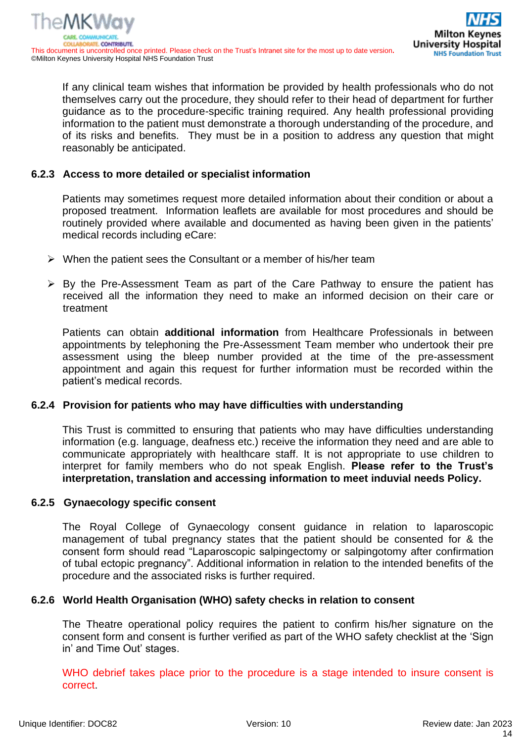If any clinical team wishes that information be provided by health professionals who do not themselves carry out the procedure, they should refer to their head of department for further guidance as to the procedure-specific training required. Any health professional providing information to the patient must demonstrate a thorough understanding of the procedure, and of its risks and benefits. They must be in a position to address any question that might reasonably be anticipated.

#### <span id="page-13-0"></span>**6.2.3 Access to more detailed or specialist information**

Patients may sometimes request more detailed information about their condition or about a proposed treatment. Information leaflets are available for most procedures and should be routinely provided where available and documented as having been given in the patients' medical records including eCare:

- $\triangleright$  When the patient sees the Consultant or a member of his/her team
- ➢ By the Pre-Assessment Team as part of the Care Pathway to ensure the patient has received all the information they need to make an informed decision on their care or treatment

Patients can obtain **additional information** from Healthcare Professionals in between appointments by telephoning the Pre-Assessment Team member who undertook their pre assessment using the bleep number provided at the time of the pre-assessment appointment and again this request for further information must be recorded within the patient's medical records.

#### <span id="page-13-1"></span>**6.2.4 Provision for patients who may have difficulties with understanding**

This Trust is committed to ensuring that patients who may have difficulties understanding information (e.g. language, deafness etc.) receive the information they need and are able to communicate appropriately with healthcare staff. It is not appropriate to use children to interpret for family members who do not speak English. **Please refer to the Trust's interpretation, translation and accessing information to meet induvial needs Policy.**

### <span id="page-13-2"></span>**6.2.5 Gynaecology specific consent**

The Royal College of Gynaecology consent guidance in relation to laparoscopic management of tubal pregnancy states that the patient should be consented for & the consent form should read "Laparoscopic salpingectomy or salpingotomy after confirmation of tubal ectopic pregnancy". Additional information in relation to the intended benefits of the procedure and the associated risks is further required.

#### <span id="page-13-3"></span>**6.2.6 World Health Organisation (WHO) safety checks in relation to consent**

The Theatre operational policy requires the patient to confirm his/her signature on the consent form and consent is further verified as part of the WHO safety checklist at the 'Sign in' and Time Out' stages.

WHO debrief takes place prior to the procedure is a stage intended to insure consent is correct.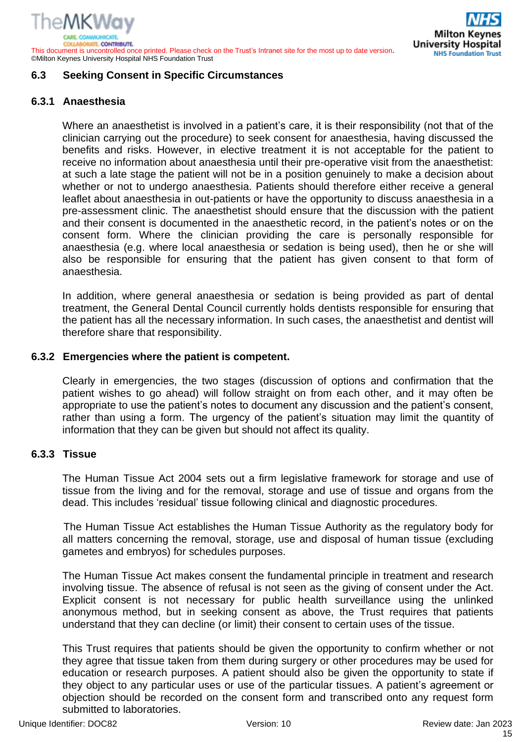

**SORATE, CONTRIBUTE,** 

This document is uncontrolled once printed. Please check on the Trust's Intranet site for the most up to date version**.** ©Milton Keynes University Hospital NHS Foundation Trust



### <span id="page-14-0"></span>**6.3 Seeking Consent in Specific Circumstances**

### <span id="page-14-1"></span>**6.3.1 Anaesthesia**

Where an anaesthetist is involved in a patient's care, it is their responsibility (not that of the clinician carrying out the procedure) to seek consent for anaesthesia, having discussed the benefits and risks. However, in elective treatment it is not acceptable for the patient to receive no information about anaesthesia until their pre-operative visit from the anaesthetist: at such a late stage the patient will not be in a position genuinely to make a decision about whether or not to undergo anaesthesia. Patients should therefore either receive a general leaflet about anaesthesia in out-patients or have the opportunity to discuss anaesthesia in a pre-assessment clinic. The anaesthetist should ensure that the discussion with the patient and their consent is documented in the anaesthetic record, in the patient's notes or on the consent form. Where the clinician providing the care is personally responsible for anaesthesia (e.g. where local anaesthesia or sedation is being used), then he or she will also be responsible for ensuring that the patient has given consent to that form of anaesthesia.

In addition, where general anaesthesia or sedation is being provided as part of dental treatment, the General Dental Council currently holds dentists responsible for ensuring that the patient has all the necessary information. In such cases, the anaesthetist and dentist will therefore share that responsibility.

#### <span id="page-14-2"></span>**6.3.2 Emergencies where the patient is competent.**

Clearly in emergencies, the two stages (discussion of options and confirmation that the patient wishes to go ahead) will follow straight on from each other, and it may often be appropriate to use the patient's notes to document any discussion and the patient's consent, rather than using a form. The urgency of the patient's situation may limit the quantity of information that they can be given but should not affect its quality.

#### <span id="page-14-3"></span>**6.3.3 Tissue**

The Human Tissue Act 2004 sets out a firm legislative framework for storage and use of tissue from the living and for the removal, storage and use of tissue and organs from the dead. This includes 'residual' tissue following clinical and diagnostic procedures.

The Human Tissue Act establishes the Human Tissue Authority as the regulatory body for all matters concerning the removal, storage, use and disposal of human tissue (excluding gametes and embryos) for schedules purposes.

The Human Tissue Act makes consent the fundamental principle in treatment and research involving tissue. The absence of refusal is not seen as the giving of consent under the Act. Explicit consent is not necessary for public health surveillance using the unlinked anonymous method, but in seeking consent as above, the Trust requires that patients understand that they can decline (or limit) their consent to certain uses of the tissue.

This Trust requires that patients should be given the opportunity to confirm whether or not they agree that tissue taken from them during surgery or other procedures may be used for education or research purposes. A patient should also be given the opportunity to state if they object to any particular uses or use of the particular tissues. A patient's agreement or objection should be recorded on the consent form and transcribed onto any request form submitted to laboratories.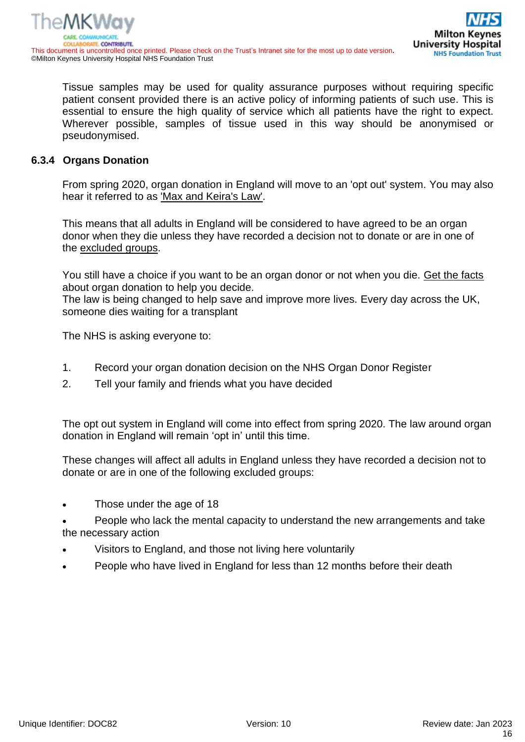Tissue samples may be used for quality assurance purposes without requiring specific patient consent provided there is an active policy of informing patients of such use. This is essential to ensure the high quality of service which all patients have the right to expect. Wherever possible, samples of tissue used in this way should be anonymised or pseudonymised.

### <span id="page-15-0"></span>**6.3.4 Organs Donation**

From spring 2020, organ donation in England will move to an 'opt out' system. You may also hear it referred to as 'Max [and Keira's Law'.](https://gbr01.safelinks.protection.outlook.com/?url=https%3A%2F%2Fwww.organdonation.nhs.uk%2Fopt-out-faq%2F%23max&data=02%7C01%7CKevin.Doyle%40mkuh.nhs.uk%7C35451f76c1494ab22fe708d79b60c2be%7Ce96dd0a15d474a949e4a5c1056daa82c%7C0%7C0%7C637148712187137155&sdata=e3r7iqJF0UG1etnR4VJse5wkFZTzsAFJc0znYWP11Ko%3D&reserved=0)

This means that all adults in England will be considered to have agreed to be an organ donor when they die unless they have recorded a decision not to donate or are in one of the [excluded](https://gbr01.safelinks.protection.outlook.com/?url=https%3A%2F%2Fwww.organdonation.nhs.uk%2Fuk-laws%2Forgan-donation-law-in-england%2F%23who&data=02%7C01%7CKevin.Doyle%40mkuh.nhs.uk%7C35451f76c1494ab22fe708d79b60c2be%7Ce96dd0a15d474a949e4a5c1056daa82c%7C0%7C0%7C637148712187147149&sdata=7gn64262K0SYhBDNxO%2FBYEESKbzx62jRTmV5Y0Z47bA%3D&reserved=0) groups.

You still have a choice if you want to be an organ donor or not when you die. [Get the facts](https://gbr01.safelinks.protection.outlook.com/?url=https%3A%2F%2Fwww.organdonation.nhs.uk%2Fhelping-you-to-decide%2Fabout-organ-donation%2Fget-the-facts%2F&data=02%7C01%7CKevin.Doyle%40mkuh.nhs.uk%7C35451f76c1494ab22fe708d79b60c2be%7Ce96dd0a15d474a949e4a5c1056daa82c%7C0%7C0%7C637148712187147149&sdata=tcD8z2QllTm7azvYdGMt56xVF8gT6B%2F3nJxLisDctBs%3D&reserved=0) about organ donation to help you decide.

The law is being changed to help save and improve more lives. Every day across the UK, someone dies waiting for a transplant

The NHS is asking everyone to:

- 1. Record your organ donation decision on the NHS Organ Donor Register
- 2. Tell your family and friends what you have decided

The opt out system in England will come into effect from spring 2020. The law around organ donation in England will remain 'opt in' until this time.

These changes will affect all adults in England unless they have recorded a decision not to donate or are in one of the following excluded groups:

- Those under the age of 18
- People who lack the mental capacity to understand the new arrangements and take the necessary action
- Visitors to England, and those not living here voluntarily
- People who have lived in England for less than 12 months before their death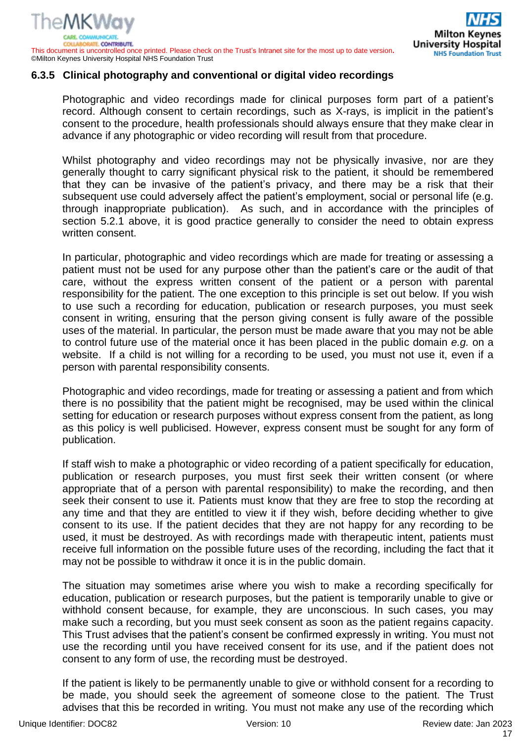

### <span id="page-16-0"></span>**6.3.5 Clinical photography and conventional or digital video recordings**

Photographic and video recordings made for clinical purposes form part of a patient's record. Although consent to certain recordings, such as X-rays, is implicit in the patient's consent to the procedure, health professionals should always ensure that they make clear in advance if any photographic or video recording will result from that procedure.

Whilst photography and video recordings may not be physically invasive, nor are they generally thought to carry significant physical risk to the patient, it should be remembered that they can be invasive of the patient's privacy, and there may be a risk that their subsequent use could adversely affect the patient's employment, social or personal life (e.g. through inappropriate publication). As such, and in accordance with the principles of section 5.2.1 above, it is good practice generally to consider the need to obtain express written consent.

In particular, photographic and video recordings which are made for treating or assessing a patient must not be used for any purpose other than the patient's care or the audit of that care, without the express written consent of the patient or a person with parental responsibility for the patient. The one exception to this principle is set out below. If you wish to use such a recording for education, publication or research purposes, you must seek consent in writing, ensuring that the person giving consent is fully aware of the possible uses of the material. In particular, the person must be made aware that you may not be able to control future use of the material once it has been placed in the public domain *e.g.* on a website. If a child is not willing for a recording to be used, you must not use it, even if a person with parental responsibility consents.

Photographic and video recordings, made for treating or assessing a patient and from which there is no possibility that the patient might be recognised, may be used within the clinical setting for education or research purposes without express consent from the patient, as long as this policy is well publicised. However, express consent must be sought for any form of publication.

If staff wish to make a photographic or video recording of a patient specifically for education, publication or research purposes, you must first seek their written consent (or where appropriate that of a person with parental responsibility) to make the recording, and then seek their consent to use it. Patients must know that they are free to stop the recording at any time and that they are entitled to view it if they wish, before deciding whether to give consent to its use. If the patient decides that they are not happy for any recording to be used, it must be destroyed. As with recordings made with therapeutic intent, patients must receive full information on the possible future uses of the recording, including the fact that it may not be possible to withdraw it once it is in the public domain.

The situation may sometimes arise where you wish to make a recording specifically for education, publication or research purposes, but the patient is temporarily unable to give or withhold consent because, for example, they are unconscious. In such cases, you may make such a recording, but you must seek consent as soon as the patient regains capacity. This Trust advises that the patient's consent be confirmed expressly in writing. You must not use the recording until you have received consent for its use, and if the patient does not consent to any form of use, the recording must be destroyed.

If the patient is likely to be permanently unable to give or withhold consent for a recording to be made, you should seek the agreement of someone close to the patient. The Trust advises that this be recorded in writing*.* You must not make any use of the recording which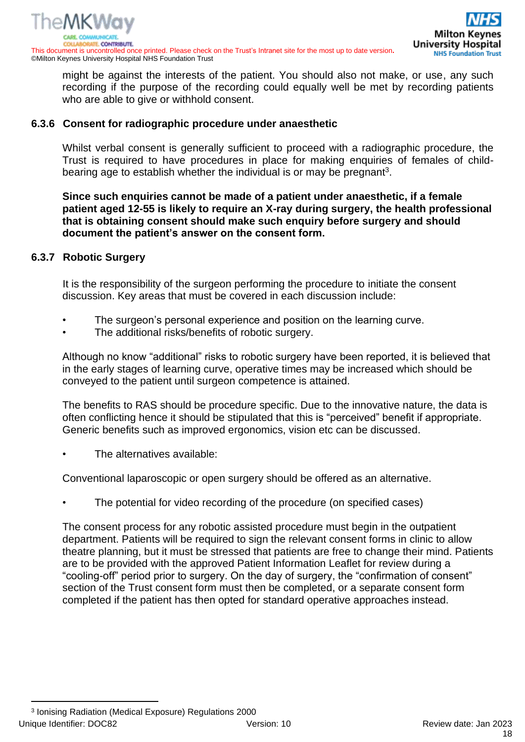



might be against the interests of the patient. You should also not make, or use, any such recording if the purpose of the recording could equally well be met by recording patients who are able to give or withhold consent.

### <span id="page-17-0"></span>**6.3.6 Consent for radiographic procedure under anaesthetic**

Whilst verbal consent is generally sufficient to proceed with a radiographic procedure, the Trust is required to have procedures in place for making enquiries of females of childbearing age to establish whether the individual is or may be pregnant<sup>3</sup>.

**Since such enquiries cannot be made of a patient under anaesthetic, if a female patient aged 12-55 is likely to require an X-ray during surgery, the health professional that is obtaining consent should make such enquiry before surgery and should document the patient's answer on the consent form.**

### <span id="page-17-1"></span>**6.3.7 Robotic Surgery**

It is the responsibility of the surgeon performing the procedure to initiate the consent discussion. Key areas that must be covered in each discussion include:

- The surgeon's personal experience and position on the learning curve.
- The additional risks/benefits of robotic surgery.

Although no know "additional" risks to robotic surgery have been reported, it is believed that in the early stages of learning curve, operative times may be increased which should be conveyed to the patient until surgeon competence is attained.

The benefits to RAS should be procedure specific. Due to the innovative nature, the data is often conflicting hence it should be stipulated that this is "perceived" benefit if appropriate. Generic benefits such as improved ergonomics, vision etc can be discussed.

• The alternatives available:

Conventional laparoscopic or open surgery should be offered as an alternative.

The potential for video recording of the procedure (on specified cases)

The consent process for any robotic assisted procedure must begin in the outpatient department. Patients will be required to sign the relevant consent forms in clinic to allow theatre planning, but it must be stressed that patients are free to change their mind. Patients are to be provided with the approved Patient Information Leaflet for review during a "cooling-off" period prior to surgery. On the day of surgery, the "confirmation of consent" section of the Trust consent form must then be completed, or a separate consent form completed if the patient has then opted for standard operative approaches instead.

Unique Identifier: DOC82 Version: 10 Review date: Jan 2023 3 Ionising Radiation (Medical Exposure) Regulations 2000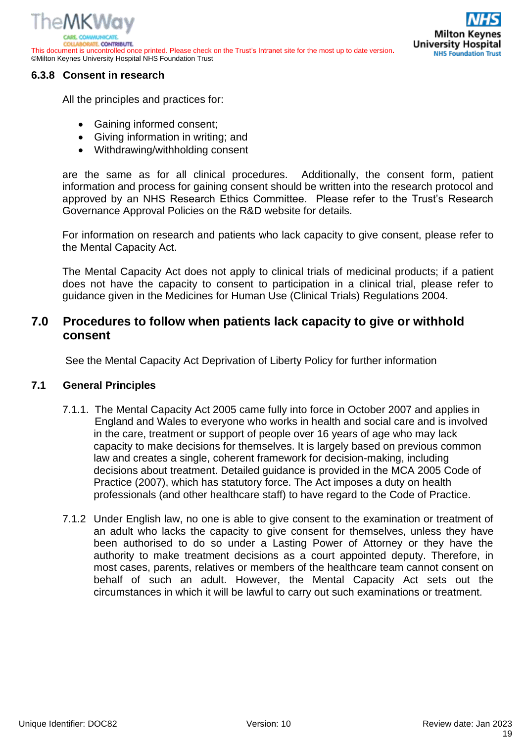



#### <span id="page-18-0"></span>**6.3.8 Consent in research**

All the principles and practices for:

- Gaining informed consent;
- Giving information in writing; and
- Withdrawing/withholding consent

are the same as for all clinical procedures. Additionally, the consent form, patient information and process for gaining consent should be written into the research protocol and approved by an NHS Research Ethics Committee. Please refer to the Trust's Research Governance Approval Policies on the R&D website for details.

For information on research and patients who lack capacity to give consent, please refer to the Mental Capacity Act.

The Mental Capacity Act does not apply to clinical trials of medicinal products; if a patient does not have the capacity to consent to participation in a clinical trial, please refer to guidance given in the Medicines for Human Use (Clinical Trials) Regulations 2004.

### <span id="page-18-1"></span>**7.0 Procedures to follow when patients lack capacity to give or withhold consent**

See the Mental Capacity Act Deprivation of Liberty Policy for further information

### <span id="page-18-2"></span>**7.1 General Principles**

- 7.1.1. The Mental Capacity Act 2005 came fully into force in October 2007 and applies in England and Wales to everyone who works in health and social care and is involved in the care, treatment or support of people over 16 years of age who may lack capacity to make decisions for themselves. It is largely based on previous common law and creates a single, coherent framework for decision-making, including decisions about treatment. Detailed guidance is provided in the MCA 2005 Code of Practice (2007), which has statutory force. The Act imposes a duty on health professionals (and other healthcare staff) to have regard to the Code of Practice.
- 7.1.2 Under English law, no one is able to give consent to the examination or treatment of an adult who lacks the capacity to give consent for themselves, unless they have been authorised to do so under a Lasting Power of Attorney or they have the authority to make treatment decisions as a court appointed deputy. Therefore, in most cases, parents, relatives or members of the healthcare team cannot consent on behalf of such an adult. However, the Mental Capacity Act sets out the circumstances in which it will be lawful to carry out such examinations or treatment.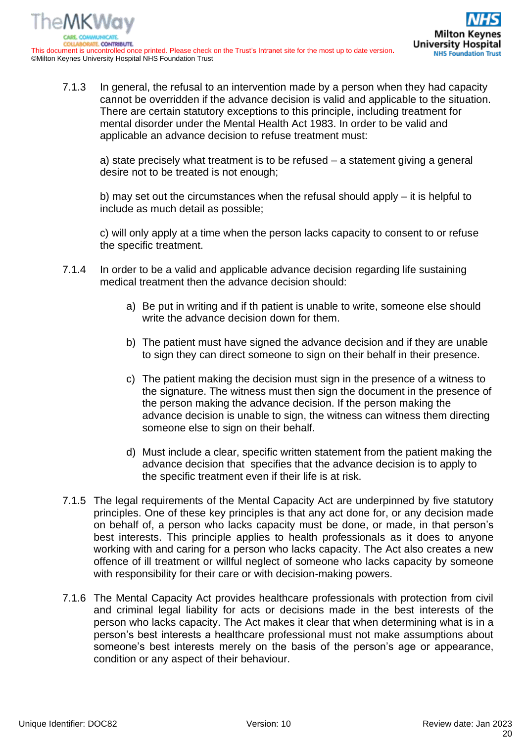

7.1.3 In general, the refusal to an intervention made by a person when they had capacity cannot be overridden if the advance decision is valid and applicable to the situation. There are certain statutory exceptions to this principle, including treatment for mental disorder under the Mental Health Act 1983. In order to be valid and applicable an advance decision to refuse treatment must:

a) state precisely what treatment is to be refused – a statement giving a general desire not to be treated is not enough;

b) may set out the circumstances when the refusal should apply – it is helpful to include as much detail as possible;

c) will only apply at a time when the person lacks capacity to consent to or refuse the specific treatment.

- 7.1.4 In order to be a valid and applicable advance decision regarding life sustaining medical treatment then the advance decision should:
	- a) Be put in writing and if th patient is unable to write, someone else should write the advance decision down for them.
	- b) The patient must have signed the advance decision and if they are unable to sign they can direct someone to sign on their behalf in their presence.
	- c) The patient making the decision must sign in the presence of a witness to the signature. The witness must then sign the document in the presence of the person making the advance decision. If the person making the advance decision is unable to sign, the witness can witness them directing someone else to sign on their behalf.
	- d) Must include a clear, specific written statement from the patient making the advance decision that specifies that the advance decision is to apply to the specific treatment even if their life is at risk.
- 7.1.5 The legal requirements of the Mental Capacity Act are underpinned by five statutory principles. One of these key principles is that any act done for, or any decision made on behalf of, a person who lacks capacity must be done, or made, in that person's best interests. This principle applies to health professionals as it does to anyone working with and caring for a person who lacks capacity. The Act also creates a new offence of ill treatment or willful neglect of someone who lacks capacity by someone with responsibility for their care or with decision-making powers.
- 7.1.6 The Mental Capacity Act provides healthcare professionals with protection from civil and criminal legal liability for acts or decisions made in the best interests of the person who lacks capacity. The Act makes it clear that when determining what is in a person's best interests a healthcare professional must not make assumptions about someone's best interests merely on the basis of the person's age or appearance, condition or any aspect of their behaviour.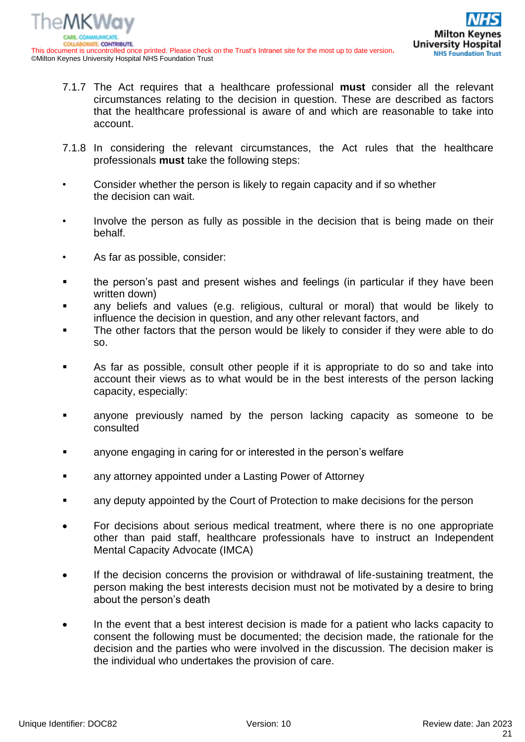

- 7.1.7 The Act requires that a healthcare professional **must** consider all the relevant circumstances relating to the decision in question. These are described as factors that the healthcare professional is aware of and which are reasonable to take into account.
- 7.1.8 In considering the relevant circumstances, the Act rules that the healthcare professionals **must** take the following steps:
- Consider whether the person is likely to regain capacity and if so whether the decision can wait.
- Involve the person as fully as possible in the decision that is being made on their behalf.
- As far as possible, consider:
- the person's past and present wishes and feelings (in particular if they have been written down)
- any beliefs and values (e.g. religious, cultural or moral) that would be likely to influence the decision in question, and any other relevant factors, and
- The other factors that the person would be likely to consider if they were able to do so.
- As far as possible, consult other people if it is appropriate to do so and take into account their views as to what would be in the best interests of the person lacking capacity, especially:
- anyone previously named by the person lacking capacity as someone to be consulted
- anyone engaging in caring for or interested in the person's welfare
- any attorney appointed under a Lasting Power of Attorney
- **Example 20** any deputy appointed by the Court of Protection to make decisions for the person
- For decisions about serious medical treatment, where there is no one appropriate other than paid staff, healthcare professionals have to instruct an Independent Mental Capacity Advocate (IMCA)
- If the decision concerns the provision or withdrawal of life-sustaining treatment, the person making the best interests decision must not be motivated by a desire to bring about the person's death
- In the event that a best interest decision is made for a patient who lacks capacity to consent the following must be documented; the decision made, the rationale for the decision and the parties who were involved in the discussion. The decision maker is the individual who undertakes the provision of care.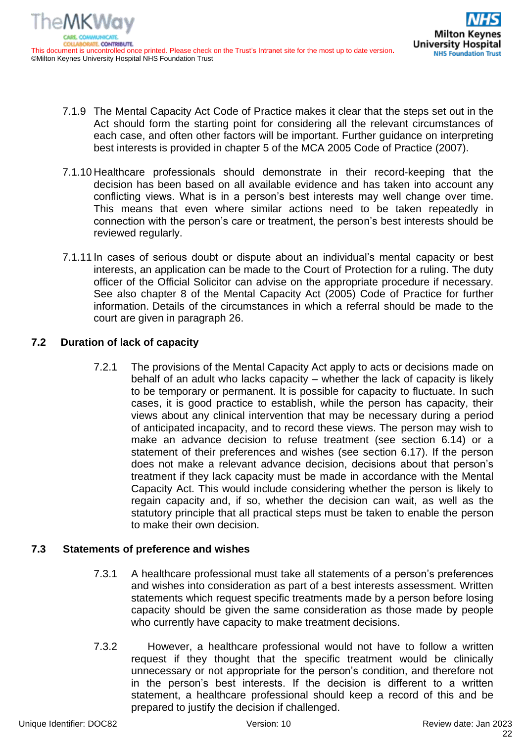- 7.1.9 The Mental Capacity Act Code of Practice makes it clear that the steps set out in the Act should form the starting point for considering all the relevant circumstances of each case, and often other factors will be important. Further guidance on interpreting best interests is provided in chapter 5 of the MCA 2005 Code of Practice (2007).
- 7.1.10 Healthcare professionals should demonstrate in their record-keeping that the decision has been based on all available evidence and has taken into account any conflicting views. What is in a person's best interests may well change over time. This means that even where similar actions need to be taken repeatedly in connection with the person's care or treatment, the person's best interests should be reviewed regularly.
- 7.1.11 In cases of serious doubt or dispute about an individual's mental capacity or best interests, an application can be made to the Court of Protection for a ruling. The duty officer of the Official Solicitor can advise on the appropriate procedure if necessary. See also chapter 8 of the Mental Capacity Act (2005) Code of Practice for further information. Details of the circumstances in which a referral should be made to the court are given in paragraph 26.

### <span id="page-21-0"></span>**7.2 Duration of lack of capacity**

7.2.1 The provisions of the Mental Capacity Act apply to acts or decisions made on behalf of an adult who lacks capacity – whether the lack of capacity is likely to be temporary or permanent. It is possible for capacity to fluctuate. In such cases, it is good practice to establish, while the person has capacity, their views about any clinical intervention that may be necessary during a period of anticipated incapacity, and to record these views. The person may wish to make an advance decision to refuse treatment (see section 6.14) or a statement of their preferences and wishes (see section 6.17). If the person does not make a relevant advance decision, decisions about that person's treatment if they lack capacity must be made in accordance with the Mental Capacity Act. This would include considering whether the person is likely to regain capacity and, if so, whether the decision can wait, as well as the statutory principle that all practical steps must be taken to enable the person to make their own decision.

### <span id="page-21-1"></span>**7.3 Statements of preference and wishes**

- 7.3.1 A healthcare professional must take all statements of a person's preferences and wishes into consideration as part of a best interests assessment. Written statements which request specific treatments made by a person before losing capacity should be given the same consideration as those made by people who currently have capacity to make treatment decisions.
- 7.3.2 However, a healthcare professional would not have to follow a written request if they thought that the specific treatment would be clinically unnecessary or not appropriate for the person's condition, and therefore not in the person's best interests. If the decision is different to a written statement, a healthcare professional should keep a record of this and be prepared to justify the decision if challenged.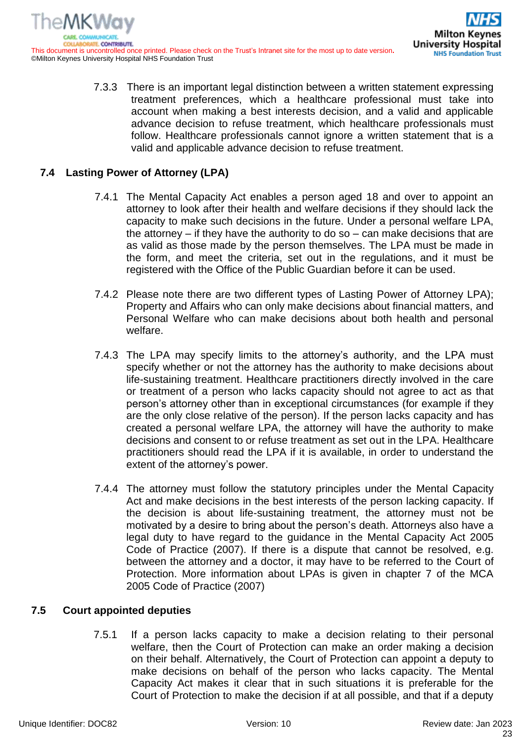7.3.3 There is an important legal distinction between a written statement expressing treatment preferences, which a healthcare professional must take into account when making a best interests decision, and a valid and applicable advance decision to refuse treatment, which healthcare professionals must follow. Healthcare professionals cannot ignore a written statement that is a valid and applicable advance decision to refuse treatment.

### <span id="page-22-0"></span> **7.4 Lasting Power of Attorney (LPA)**

- 7.4.1 The Mental Capacity Act enables a person aged 18 and over to appoint an attorney to look after their health and welfare decisions if they should lack the capacity to make such decisions in the future. Under a personal welfare LPA, the attorney – if they have the authority to do so – can make decisions that are as valid as those made by the person themselves. The LPA must be made in the form, and meet the criteria, set out in the regulations, and it must be registered with the Office of the Public Guardian before it can be used.
- 7.4.2 Please note there are two different types of Lasting Power of Attorney LPA); Property and Affairs who can only make decisions about financial matters, and Personal Welfare who can make decisions about both health and personal welfare.
- 7.4.3 The LPA may specify limits to the attorney's authority, and the LPA must specify whether or not the attorney has the authority to make decisions about life-sustaining treatment. Healthcare practitioners directly involved in the care or treatment of a person who lacks capacity should not agree to act as that person's attorney other than in exceptional circumstances (for example if they are the only close relative of the person). If the person lacks capacity and has created a personal welfare LPA, the attorney will have the authority to make decisions and consent to or refuse treatment as set out in the LPA. Healthcare practitioners should read the LPA if it is available, in order to understand the extent of the attorney's power.
- 7.4.4 The attorney must follow the statutory principles under the Mental Capacity Act and make decisions in the best interests of the person lacking capacity. If the decision is about life-sustaining treatment, the attorney must not be motivated by a desire to bring about the person's death. Attorneys also have a legal duty to have regard to the guidance in the Mental Capacity Act 2005 Code of Practice (2007). If there is a dispute that cannot be resolved, e.g. between the attorney and a doctor, it may have to be referred to the Court of Protection. More information about LPAs is given in chapter 7 of the MCA 2005 Code of Practice (2007)

### <span id="page-22-1"></span>**7.5 Court appointed deputies**

7.5.1 If a person lacks capacity to make a decision relating to their personal welfare, then the Court of Protection can make an order making a decision on their behalf. Alternatively, the Court of Protection can appoint a deputy to make decisions on behalf of the person who lacks capacity. The Mental Capacity Act makes it clear that in such situations it is preferable for the Court of Protection to make the decision if at all possible, and that if a deputy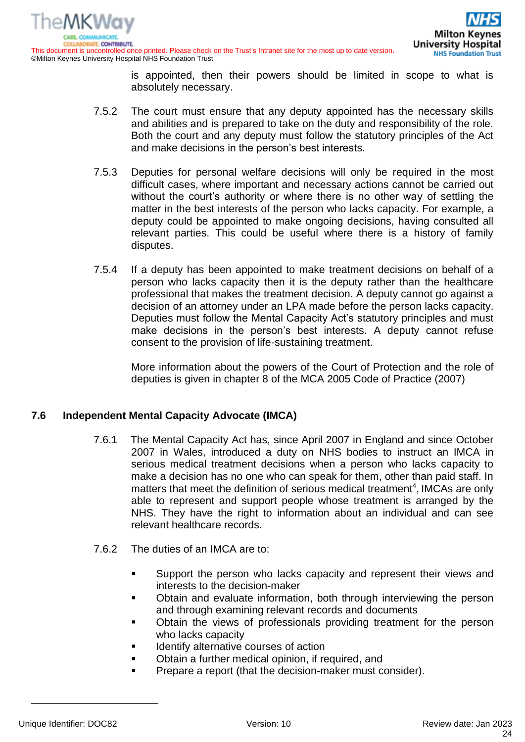is appointed, then their powers should be limited in scope to what is absolutely necessary.

- 7.5.2 The court must ensure that any deputy appointed has the necessary skills and abilities and is prepared to take on the duty and responsibility of the role. Both the court and any deputy must follow the statutory principles of the Act and make decisions in the person's best interests.
- 7.5.3 Deputies for personal welfare decisions will only be required in the most difficult cases, where important and necessary actions cannot be carried out without the court's authority or where there is no other way of settling the matter in the best interests of the person who lacks capacity. For example, a deputy could be appointed to make ongoing decisions, having consulted all relevant parties. This could be useful where there is a history of family disputes.
- 7.5.4 If a deputy has been appointed to make treatment decisions on behalf of a person who lacks capacity then it is the deputy rather than the healthcare professional that makes the treatment decision. A deputy cannot go against a decision of an attorney under an LPA made before the person lacks capacity. Deputies must follow the Mental Capacity Act's statutory principles and must make decisions in the person's best interests. A deputy cannot refuse consent to the provision of life-sustaining treatment.

More information about the powers of the Court of Protection and the role of deputies is given in chapter 8 of the MCA 2005 Code of Practice (2007)

### <span id="page-23-0"></span>**7.6 Independent Mental Capacity Advocate (IMCA)**

- 7.6.1 The Mental Capacity Act has, since April 2007 in England and since October 2007 in Wales, introduced a duty on NHS bodies to instruct an IMCA in serious medical treatment decisions when a person who lacks capacity to make a decision has no one who can speak for them, other than paid staff. In matters that meet the definition of serious medical treatment<sup>4</sup>, IMCAs are only able to represent and support people whose treatment is arranged by the NHS. They have the right to information about an individual and can see relevant healthcare records.
- 7.6.2 The duties of an IMCA are to:
	- Support the person who lacks capacity and represent their views and interests to the decision-maker
	- Obtain and evaluate information, both through interviewing the person and through examining relevant records and documents
	- Obtain the views of professionals providing treatment for the person who lacks capacity
	- **■** Identify alternative courses of action
	- Obtain a further medical opinion, if required, and
	- Prepare a report (that the decision-maker must consider).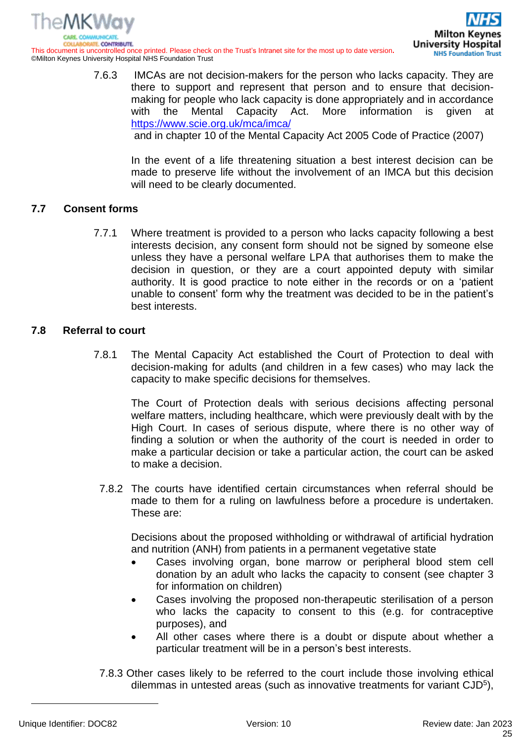

7.6.3 IMCAs are not decision-makers for the person who lacks capacity. They are there to support and represent that person and to ensure that decisionmaking for people who lack capacity is done appropriately and in accordance<br>with the Mental Capacity Act. More information is given at Capacity Act. More information is given at <https://www.scie.org.uk/mca/imca/>

and in chapter 10 of the Mental Capacity Act 2005 Code of Practice (2007)

In the event of a life threatening situation a best interest decision can be made to preserve life without the involvement of an IMCA but this decision will need to be clearly documented.

### <span id="page-24-0"></span>**7.7 Consent forms**

7.7.1 Where treatment is provided to a person who lacks capacity following a best interests decision, any consent form should not be signed by someone else unless they have a personal welfare LPA that authorises them to make the decision in question, or they are a court appointed deputy with similar authority. It is good practice to note either in the records or on a 'patient unable to consent' form why the treatment was decided to be in the patient's best interests.

#### <span id="page-24-1"></span>**7.8 Referral to court**

7.8.1 The Mental Capacity Act established the Court of Protection to deal with decision-making for adults (and children in a few cases) who may lack the capacity to make specific decisions for themselves.

The Court of Protection deals with serious decisions affecting personal welfare matters, including healthcare, which were previously dealt with by the High Court. In cases of serious dispute, where there is no other way of finding a solution or when the authority of the court is needed in order to make a particular decision or take a particular action, the court can be asked to make a decision.

7.8.2 The courts have identified certain circumstances when referral should be made to them for a ruling on lawfulness before a procedure is undertaken. These are:

Decisions about the proposed withholding or withdrawal of artificial hydration and nutrition (ANH) from patients in a permanent vegetative state

- Cases involving organ, bone marrow or peripheral blood stem cell donation by an adult who lacks the capacity to consent (see chapter 3 for information on children)
- Cases involving the proposed non-therapeutic sterilisation of a person who lacks the capacity to consent to this (e.g. for contraceptive purposes), and
- All other cases where there is a doubt or dispute about whether a particular treatment will be in a person's best interests.
- 7.8.3 Other cases likely to be referred to the court include those involving ethical dilemmas in untested areas (such as innovative treatments for variant CJD<sup>5</sup>),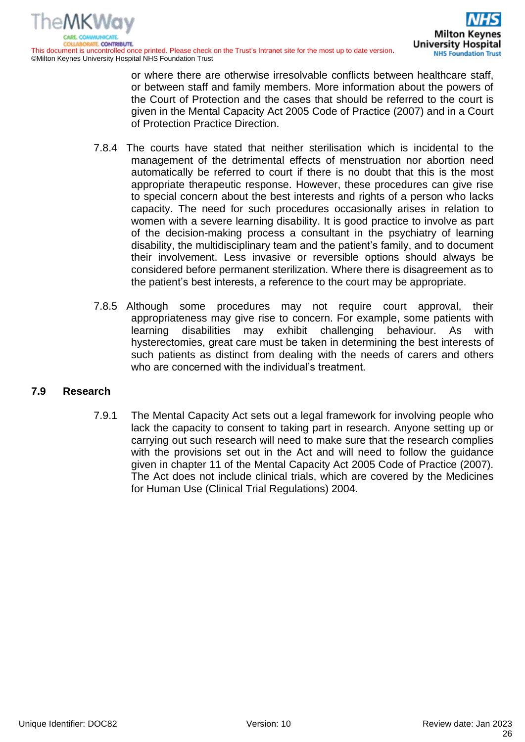or where there are otherwise irresolvable conflicts between healthcare staff, or between staff and family members. More information about the powers of the Court of Protection and the cases that should be referred to the court is given in the Mental Capacity Act 2005 Code of Practice (2007) and in a Court of Protection Practice Direction.

- 7.8.4 The courts have stated that neither sterilisation which is incidental to the management of the detrimental effects of menstruation nor abortion need automatically be referred to court if there is no doubt that this is the most appropriate therapeutic response. However, these procedures can give rise to special concern about the best interests and rights of a person who lacks capacity. The need for such procedures occasionally arises in relation to women with a severe learning disability. It is good practice to involve as part of the decision-making process a consultant in the psychiatry of learning disability, the multidisciplinary team and the patient's family, and to document their involvement. Less invasive or reversible options should always be considered before permanent sterilization. Where there is disagreement as to the patient's best interests, a reference to the court may be appropriate.
- 7.8.5 Although some procedures may not require court approval, their appropriateness may give rise to concern. For example, some patients with learning disabilities may exhibit challenging behaviour. As with hysterectomies, great care must be taken in determining the best interests of such patients as distinct from dealing with the needs of carers and others who are concerned with the individual's treatment.

### <span id="page-25-0"></span>**7.9 Research**

7.9.1 The Mental Capacity Act sets out a legal framework for involving people who lack the capacity to consent to taking part in research. Anyone setting up or carrying out such research will need to make sure that the research complies with the provisions set out in the Act and will need to follow the guidance given in chapter 11 of the Mental Capacity Act 2005 Code of Practice (2007). The Act does not include clinical trials, which are covered by the Medicines for Human Use (Clinical Trial Regulations) 2004.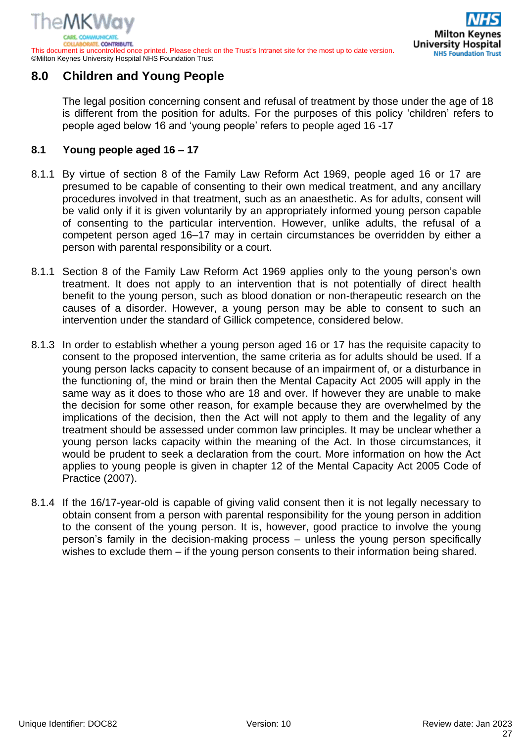



# <span id="page-26-0"></span>**8.0 Children and Young People**

The legal position concerning consent and refusal of treatment by those under the age of 18 is different from the position for adults. For the purposes of this policy 'children' refers to people aged below 16 and 'young people' refers to people aged 16 -17

### <span id="page-26-1"></span>**8.1 Young people aged 16 – 17**

- 8.1.1 By virtue of section 8 of the Family Law Reform Act 1969, people aged 16 or 17 are presumed to be capable of consenting to their own medical treatment, and any ancillary procedures involved in that treatment, such as an anaesthetic. As for adults, consent will be valid only if it is given voluntarily by an appropriately informed young person capable of consenting to the particular intervention. However, unlike adults, the refusal of a competent person aged 16–17 may in certain circumstances be overridden by either a person with parental responsibility or a court.
- 8.1.1 Section 8 of the Family Law Reform Act 1969 applies only to the young person's own treatment. It does not apply to an intervention that is not potentially of direct health benefit to the young person, such as blood donation or non-therapeutic research on the causes of a disorder. However, a young person may be able to consent to such an intervention under the standard of Gillick competence, considered below.
- 8.1.3 In order to establish whether a young person aged 16 or 17 has the requisite capacity to consent to the proposed intervention, the same criteria as for adults should be used. If a young person lacks capacity to consent because of an impairment of, or a disturbance in the functioning of, the mind or brain then the Mental Capacity Act 2005 will apply in the same way as it does to those who are 18 and over. If however they are unable to make the decision for some other reason, for example because they are overwhelmed by the implications of the decision, then the Act will not apply to them and the legality of any treatment should be assessed under common law principles. It may be unclear whether a young person lacks capacity within the meaning of the Act. In those circumstances, it would be prudent to seek a declaration from the court. More information on how the Act applies to young people is given in chapter 12 of the Mental Capacity Act 2005 Code of Practice (2007).
- 8.1.4 If the 16/17-year-old is capable of giving valid consent then it is not legally necessary to obtain consent from a person with parental responsibility for the young person in addition to the consent of the young person. It is, however, good practice to involve the young person's family in the decision-making process – unless the young person specifically wishes to exclude them – if the young person consents to their information being shared.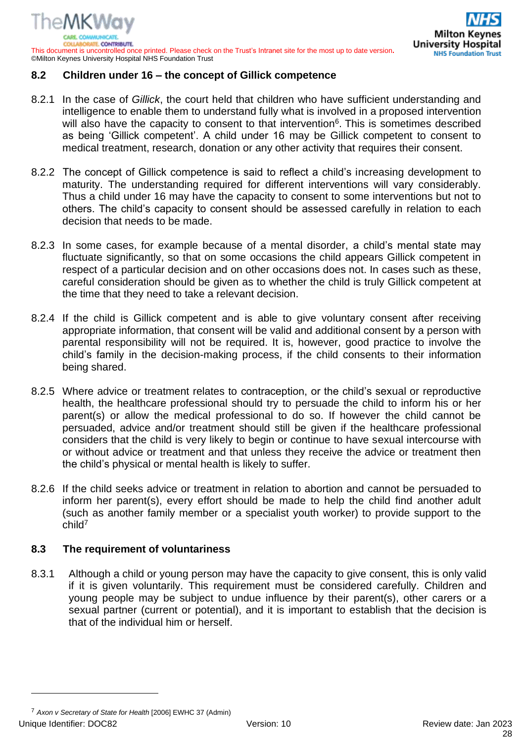### <span id="page-27-0"></span>**8.2 Children under 16 – the concept of Gillick competence**

- 8.2.1 In the case of *Gillick*, the court held that children who have sufficient understanding and intelligence to enable them to understand fully what is involved in a proposed intervention will also have the capacity to consent to that intervention<sup>6</sup>. This is sometimes described as being 'Gillick competent'. A child under 16 may be Gillick competent to consent to medical treatment, research, donation or any other activity that requires their consent.
- 8.2.2 The concept of Gillick competence is said to reflect a child's increasing development to maturity. The understanding required for different interventions will vary considerably. Thus a child under 16 may have the capacity to consent to some interventions but not to others. The child's capacity to consent should be assessed carefully in relation to each decision that needs to be made.
- 8.2.3 In some cases, for example because of a mental disorder, a child's mental state may fluctuate significantly, so that on some occasions the child appears Gillick competent in respect of a particular decision and on other occasions does not. In cases such as these, careful consideration should be given as to whether the child is truly Gillick competent at the time that they need to take a relevant decision.
- 8.2.4 If the child is Gillick competent and is able to give voluntary consent after receiving appropriate information, that consent will be valid and additional consent by a person with parental responsibility will not be required. It is, however, good practice to involve the child's family in the decision-making process, if the child consents to their information being shared.
- 8.2.5 Where advice or treatment relates to contraception, or the child's sexual or reproductive health, the healthcare professional should try to persuade the child to inform his or her parent(s) or allow the medical professional to do so. If however the child cannot be persuaded, advice and/or treatment should still be given if the healthcare professional considers that the child is very likely to begin or continue to have sexual intercourse with or without advice or treatment and that unless they receive the advice or treatment then the child's physical or mental health is likely to suffer.
- 8.2.6 If the child seeks advice or treatment in relation to abortion and cannot be persuaded to inform her parent(s), every effort should be made to help the child find another adult (such as another family member or a specialist youth worker) to provide support to the child<sup>7</sup>

### <span id="page-27-1"></span>**8.3 The requirement of voluntariness**

8.3.1 Although a child or young person may have the capacity to give consent, this is only valid if it is given voluntarily. This requirement must be considered carefully. Children and young people may be subject to undue influence by their parent(s), other carers or a sexual partner (current or potential), and it is important to establish that the decision is that of the individual him or herself.

Unique Identifier: DOC82 Version: 10 Version: 10 Review date: Jan 2023 <sup>7</sup> *Axon v Secretary of State for Health* [2006] EWHC 37 (Admin)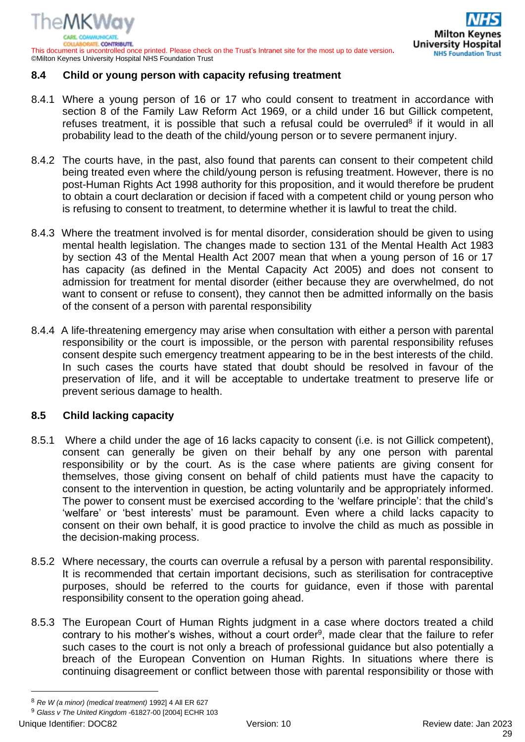### <span id="page-28-0"></span>**8.4 Child or young person with capacity refusing treatment**

- 8.4.1 Where a young person of 16 or 17 who could consent to treatment in accordance with section 8 of the Family Law Reform Act 1969, or a child under 16 but Gillick competent, refuses treatment, it is possible that such a refusal could be overruled<sup>8</sup> if it would in all probability lead to the death of the child/young person or to severe permanent injury.
- 8.4.2 The courts have, in the past, also found that parents can consent to their competent child being treated even where the child/young person is refusing treatment. However, there is no post-Human Rights Act 1998 authority for this proposition, and it would therefore be prudent to obtain a court declaration or decision if faced with a competent child or young person who is refusing to consent to treatment, to determine whether it is lawful to treat the child.
- 8.4.3 Where the treatment involved is for mental disorder, consideration should be given to using mental health legislation. The changes made to section 131 of the Mental Health Act 1983 by section 43 of the Mental Health Act 2007 mean that when a young person of 16 or 17 has capacity (as defined in the Mental Capacity Act 2005) and does not consent to admission for treatment for mental disorder (either because they are overwhelmed, do not want to consent or refuse to consent), they cannot then be admitted informally on the basis of the consent of a person with parental responsibility
- 8.4.4 A life-threatening emergency may arise when consultation with either a person with parental responsibility or the court is impossible, or the person with parental responsibility refuses consent despite such emergency treatment appearing to be in the best interests of the child. In such cases the courts have stated that doubt should be resolved in favour of the preservation of life, and it will be acceptable to undertake treatment to preserve life or prevent serious damage to health.

### <span id="page-28-1"></span>**8.5 Child lacking capacity**

- 8.5.1 Where a child under the age of 16 lacks capacity to consent (i.e. is not Gillick competent), consent can generally be given on their behalf by any one person with parental responsibility or by the court. As is the case where patients are giving consent for themselves, those giving consent on behalf of child patients must have the capacity to consent to the intervention in question, be acting voluntarily and be appropriately informed. The power to consent must be exercised according to the 'welfare principle': that the child's 'welfare' or 'best interests' must be paramount. Even where a child lacks capacity to consent on their own behalf, it is good practice to involve the child as much as possible in the decision-making process.
- 8.5.2 Where necessary, the courts can overrule a refusal by a person with parental responsibility. It is recommended that certain important decisions, such as sterilisation for contraceptive purposes, should be referred to the courts for guidance, even if those with parental responsibility consent to the operation going ahead.
- 8.5.3 The European Court of Human Rights judgment in a case where doctors treated a child contrary to his mother's wishes, without a court order<sup>9</sup>, made clear that the failure to refer such cases to the court is not only a breach of professional guidance but also potentially a breach of the European Convention on Human Rights. In situations where there is continuing disagreement or conflict between those with parental responsibility or those with

<sup>8</sup> *Re W (a minor) (medical treatment)* 1992] 4 All ER 627

<sup>9</sup> *Glass v The United Kingdom -*61827-00 [2004] ECHR 103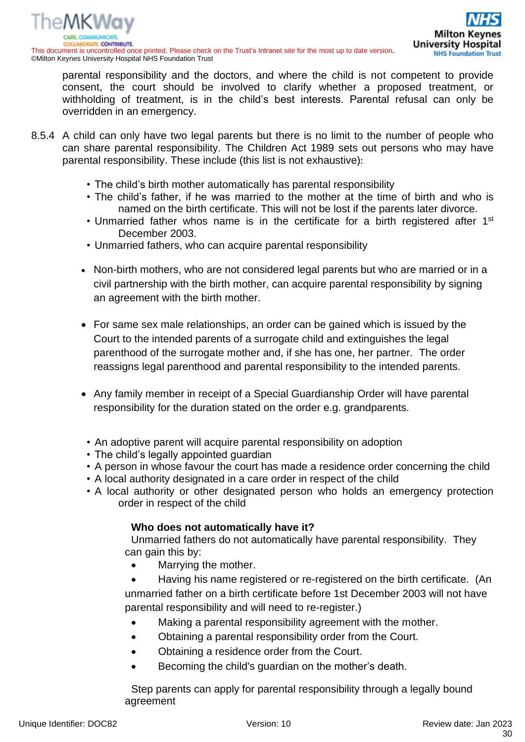

parental responsibility and the doctors, and where the child is not competent to provide consent, the court should be involved to clarify whether a proposed treatment, or withholding of treatment, is in the child's best interests. Parental refusal can only be overridden in an emergency.

- 8.5.4 A child can only have two legal parents but there is no limit to the number of people who can share parental responsibility. The Children Act 1989 sets out persons who may have parental responsibility. These include (this list is not exhaustive):
	- The child's birth mother automatically has parental responsibility
	- The child's father, if he was married to the mother at the time of birth and who is named on the birth certificate. This will not be lost if the parents later divorce.
	- Unmarried father whos name is in the certificate for a birth registered after 1<sup>st</sup> December 2003.
	- Unmarried fathers, who can acquire parental responsibility
	- Non-birth mothers, who are not considered legal parents but who are married or in a civil partnership with the birth mother, can acquire parental responsibility by signing an agreement with the birth mother.
	- For same sex male relationships, an order can be gained which is issued by the Court to the intended parents of a surrogate child and extinguishes the legal parenthood of the surrogate mother and, if she has one, her partner. The order reassigns legal parenthood and parental responsibility to the intended parents.
	- Any family member in receipt of a Special Guardianship Order will have parental responsibility for the duration stated on the order e.g. grandparents.
	- An adoptive parent will acquire parental responsibility on adoption
	- The child's legally appointed guardian
	- A person in whose favour the court has made a residence order concerning the child
	- A local authority designated in a care order in respect of the child
	- A local authority or other designated person who holds an emergency protection order in respect of the child

### **Who does not automatically have it?**

Unmarried fathers do not automatically have parental responsibility. They can gain this by:

- Marrying the mother.
- Having his name registered or re-registered on the birth certificate. (An unmarried father on a birth certificate before 1st December 2003 will not have parental responsibility and will need to re-register.)
	- Making a parental responsibility agreement with the mother.
	- Obtaining a parental responsibility order from the Court.
	- Obtaining a residence order from the Court.
	- Becoming the child's guardian on the mother's death.

Step parents can apply for parental responsibility through a legally bound agreement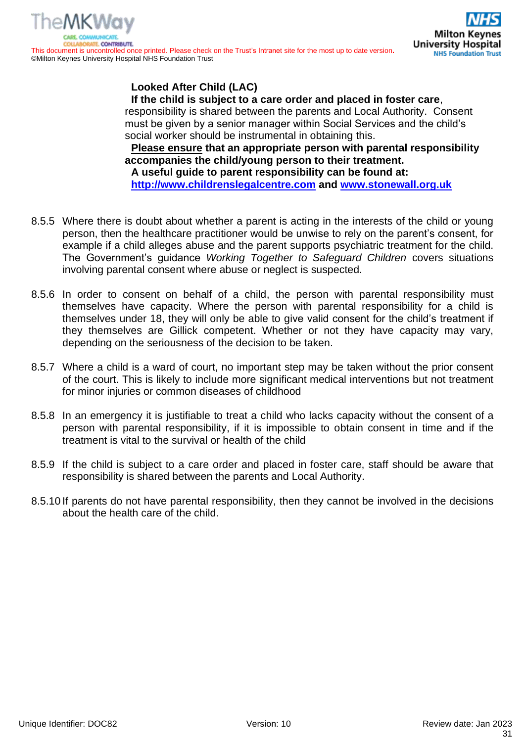



### **Looked After Child (LAC)**

**If the child is subject to a care order and placed in foster care**, responsibility is shared between the parents and Local Authority. Consent must be given by a senior manager within Social Services and the child's social worker should be instrumental in obtaining this.

**Please ensure that an appropriate person with parental responsibility accompanies the child/young person to their treatment. A useful guide to parent responsibility can be found at: [http://www.childrenslegalcentre.com](https://gbr01.safelinks.protection.outlook.com/?url=http%3A%2F%2Fwww.childrenslegalcentre.com&data=02%7C01%7CKevin.Doyle%40mkuh.nhs.uk%7C6d96544148d9401fbc6708d79b58f6de%7Ce96dd0a15d474a949e4a5c1056daa82c%7C0%7C0%7C637148678704192459&sdata=hBAG09Aj9Ee5P5uEjFLkDlVFXAeBjRxaDZSwkHzzgSQ%3D&reserved=0) and [www.stonewall.org.uk](https://gbr01.safelinks.protection.outlook.com/?url=https%3A%2F%2Fwww.stonewall.org.uk%2F&data=02%7C01%7CKevin.Doyle%40mkuh.nhs.uk%7C6d96544148d9401fbc6708d79b58f6de%7Ce96dd0a15d474a949e4a5c1056daa82c%7C0%7C0%7C637148678704202459&sdata=wM2nW3fajl5v0qjUgWp9V%2Fgkgq%2BHIgIJwYU5pHp%2FIRU%3D&reserved=0)**

- 8.5.5 Where there is doubt about whether a parent is acting in the interests of the child or young person, then the healthcare practitioner would be unwise to rely on the parent's consent, for example if a child alleges abuse and the parent supports psychiatric treatment for the child. The Government's guidance *Working Together to Safeguard Children* covers situations involving parental consent where abuse or neglect is suspected.
- 8.5.6 In order to consent on behalf of a child, the person with parental responsibility must themselves have capacity. Where the person with parental responsibility for a child is themselves under 18, they will only be able to give valid consent for the child's treatment if they themselves are Gillick competent. Whether or not they have capacity may vary, depending on the seriousness of the decision to be taken.
- 8.5.7 Where a child is a ward of court, no important step may be taken without the prior consent of the court. This is likely to include more significant medical interventions but not treatment for minor injuries or common diseases of childhood
- 8.5.8 In an emergency it is justifiable to treat a child who lacks capacity without the consent of a person with parental responsibility, if it is impossible to obtain consent in time and if the treatment is vital to the survival or health of the child
- 8.5.9 If the child is subject to a care order and placed in foster care, staff should be aware that responsibility is shared between the parents and Local Authority.
- 8.5.10 If parents do not have parental responsibility, then they cannot be involved in the decisions about the health care of the child.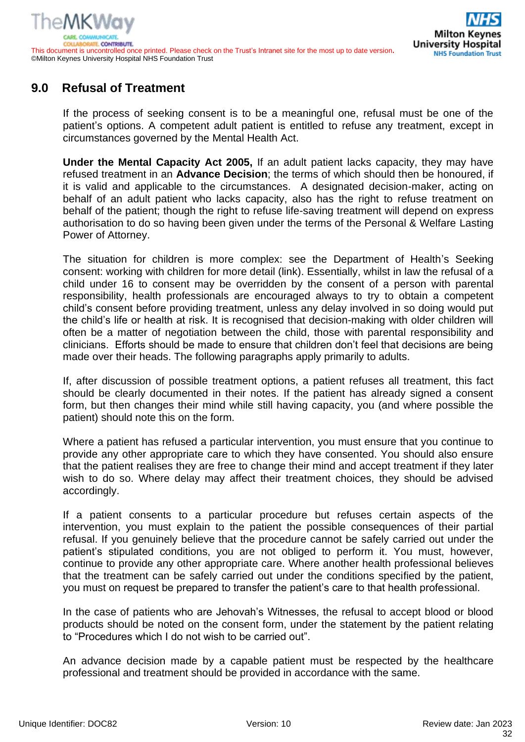

# <span id="page-31-0"></span>**9.0 Refusal of Treatment**

If the process of seeking consent is to be a meaningful one, refusal must be one of the patient's options. A competent adult patient is entitled to refuse any treatment, except in circumstances governed by the Mental Health Act.

**Under the Mental Capacity Act 2005,** If an adult patient lacks capacity, they may have refused treatment in an **Advance Decision**; the terms of which should then be honoured, if it is valid and applicable to the circumstances. A designated decision-maker, acting on behalf of an adult patient who lacks capacity, also has the right to refuse treatment on behalf of the patient; though the right to refuse life-saving treatment will depend on express authorisation to do so having been given under the terms of the Personal & Welfare Lasting Power of Attorney.

The situation for children is more complex: see the Department of Health's Seeking consent: working with children for more detail (link). Essentially, whilst in law the refusal of a child under 16 to consent may be overridden by the consent of a person with parental responsibility, health professionals are encouraged always to try to obtain a competent child's consent before providing treatment, unless any delay involved in so doing would put the child's life or health at risk. It is recognised that decision-making with older children will often be a matter of negotiation between the child, those with parental responsibility and clinicians. Efforts should be made to ensure that children don't feel that decisions are being made over their heads. The following paragraphs apply primarily to adults.

If, after discussion of possible treatment options, a patient refuses all treatment, this fact should be clearly documented in their notes. If the patient has already signed a consent form, but then changes their mind while still having capacity, you (and where possible the patient) should note this on the form.

Where a patient has refused a particular intervention, you must ensure that you continue to provide any other appropriate care to which they have consented. You should also ensure that the patient realises they are free to change their mind and accept treatment if they later wish to do so. Where delay may affect their treatment choices, they should be advised accordingly.

If a patient consents to a particular procedure but refuses certain aspects of the intervention, you must explain to the patient the possible consequences of their partial refusal. If you genuinely believe that the procedure cannot be safely carried out under the patient's stipulated conditions, you are not obliged to perform it. You must, however, continue to provide any other appropriate care. Where another health professional believes that the treatment can be safely carried out under the conditions specified by the patient, you must on request be prepared to transfer the patient's care to that health professional.

In the case of patients who are Jehovah's Witnesses, the refusal to accept blood or blood products should be noted on the consent form, under the statement by the patient relating to "Procedures which I do not wish to be carried out".

An advance decision made by a capable patient must be respected by the healthcare professional and treatment should be provided in accordance with the same.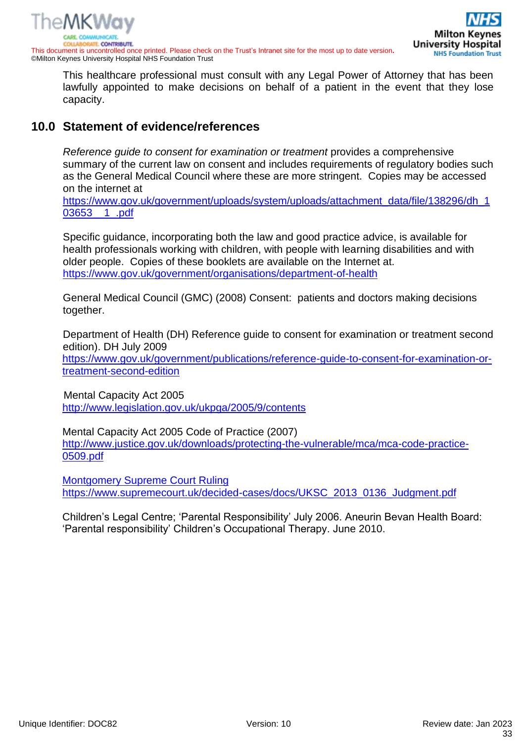



This healthcare professional must consult with any Legal Power of Attorney that has been lawfully appointed to make decisions on behalf of a patient in the event that they lose capacity.

### <span id="page-32-0"></span>**10.0 Statement of evidence/references**

*Reference guide to consent for examination or treatment* provides a comprehensive summary of the current law on consent and includes requirements of regulatory bodies such as the General Medical Council where these are more stringent. Copies may be accessed on the internet at

[https://www.gov.uk/government/uploads/system/uploads/attachment\\_data/file/138296/dh\\_1](https://www.gov.uk/government/uploads/system/uploads/attachment_data/file/138296/dh_103653__1_.pdf) [03653\\_\\_1\\_.pdf](https://www.gov.uk/government/uploads/system/uploads/attachment_data/file/138296/dh_103653__1_.pdf)

Specific guidance, incorporating both the law and good practice advice, is available for health professionals working with children, with people with learning disabilities and with older people. Copies of these booklets are available on the Internet at. <https://www.gov.uk/government/organisations/department-of-health>

General Medical Council (GMC) (2008) Consent: patients and doctors making decisions together.

Department of Health (DH) Reference guide to consent for examination or treatment second edition). DH July 2009

[https://www.gov.uk/government/publications/reference-guide-to-consent-for-examination-or](https://www.gov.uk/government/publications/reference-guide-to-consent-for-examination-or-treatment-second-edition)[treatment-second-edition](https://www.gov.uk/government/publications/reference-guide-to-consent-for-examination-or-treatment-second-edition)

 Mental Capacity Act 2005 <http://www.legislation.gov.uk/ukpga/2005/9/contents>

Mental Capacity Act 2005 Code of Practice (2007) [http://www.justice.gov.uk/downloads/protecting-the-vulnerable/mca/mca-code-practice-](http://www.justice.gov.uk/downloads/protecting-the-vulnerable/mca/mca-code-practice-0509.pdf)[0509.pdf](http://www.justice.gov.uk/downloads/protecting-the-vulnerable/mca/mca-code-practice-0509.pdf)

Montgomery Supreme Court Ruling [https://www.supremecourt.uk/decided-cases/docs/UKSC\\_2013\\_0136\\_Judgment.pdf](https://www.supremecourt.uk/decided-cases/docs/UKSC_2013_0136_Judgment.pdf)

Children's Legal Centre; 'Parental Responsibility' July 2006. Aneurin Bevan Health Board: 'Parental responsibility' Children's Occupational Therapy. June 2010.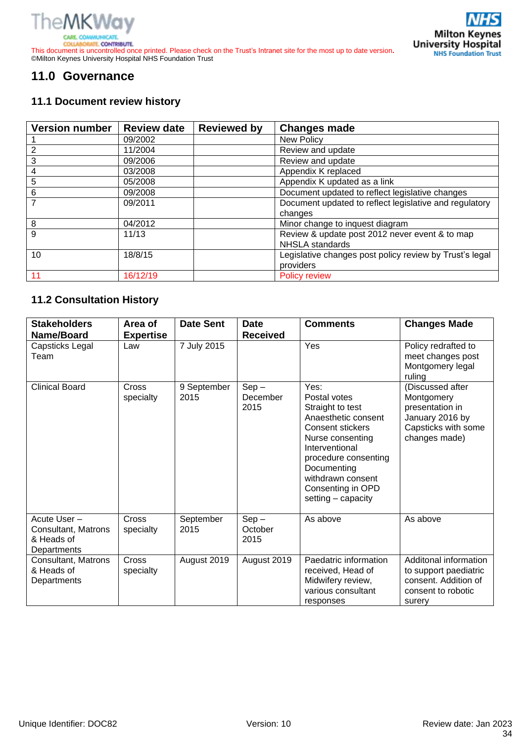

COLLABORATE, CONTRIBUTE.

This document is uncontrolled once printed. Please check on the Trust's Intranet site for the most up to date version**.** ©Milton Keynes University Hospital NHS Foundation Trust



### <span id="page-33-0"></span>**11.0 Governance**

### <span id="page-33-1"></span>**11.1 Document review history**

| <b>Version number</b> | <b>Review date</b> | <b>Reviewed by</b> | <b>Changes made</b>                                     |
|-----------------------|--------------------|--------------------|---------------------------------------------------------|
|                       | 09/2002            |                    | New Policy                                              |
|                       | 11/2004            |                    | Review and update                                       |
| 3                     | 09/2006            |                    | Review and update                                       |
|                       | 03/2008            |                    | Appendix K replaced                                     |
| 5                     | 05/2008            |                    | Appendix K updated as a link                            |
| 6                     | 09/2008            |                    | Document updated to reflect legislative changes         |
|                       | 09/2011            |                    | Document updated to reflect legislative and regulatory  |
|                       |                    |                    | changes                                                 |
| 8                     | 04/2012            |                    | Minor change to inquest diagram                         |
| 9                     | 11/13              |                    | Review & update post 2012 never event & to map          |
|                       |                    |                    | <b>NHSLA</b> standards                                  |
| 10                    | 18/8/15            |                    | Legislative changes post policy review by Trust's legal |
|                       |                    |                    | providers                                               |
| 11                    | 16/12/19           |                    | <b>Policy review</b>                                    |

### <span id="page-33-2"></span>**11.2 Consultation History**

| <b>Stakeholders</b><br>Name/Board                                | Area of<br><b>Expertise</b> | <b>Date Sent</b>    | <b>Date</b><br><b>Received</b> | <b>Comments</b>                                                                                                                                                                                                                  | <b>Changes Made</b>                                                                                          |
|------------------------------------------------------------------|-----------------------------|---------------------|--------------------------------|----------------------------------------------------------------------------------------------------------------------------------------------------------------------------------------------------------------------------------|--------------------------------------------------------------------------------------------------------------|
| Capsticks Legal<br>Team                                          | Law                         | 7 July 2015         |                                | Yes                                                                                                                                                                                                                              | Policy redrafted to<br>meet changes post<br>Montgomery legal<br>ruling                                       |
| <b>Clinical Board</b>                                            | <b>Cross</b><br>specialty   | 9 September<br>2015 | $Sep -$<br>December<br>2015    | Yes:<br>Postal votes<br>Straight to test<br>Anaesthetic consent<br>Consent stickers<br>Nurse consenting<br>Interventional<br>procedure consenting<br>Documenting<br>withdrawn consent<br>Consenting in OPD<br>setting - capacity | (Discussed after<br>Montgomery<br>presentation in<br>January 2016 by<br>Capsticks with some<br>changes made) |
| Acute User -<br>Consultant, Matrons<br>& Heads of<br>Departments | Cross<br>specialty          | September<br>2015   | $Sep -$<br>October<br>2015     | As above                                                                                                                                                                                                                         | As above                                                                                                     |
| Consultant, Matrons<br>& Heads of<br>Departments                 | Cross<br>specialty          | August 2019         | August 2019                    | Paedatric information<br>received, Head of<br>Midwifery review,<br>various consultant<br>responses                                                                                                                               | Additonal information<br>to support paediatric<br>consent. Addition of<br>consent to robotic<br>surery       |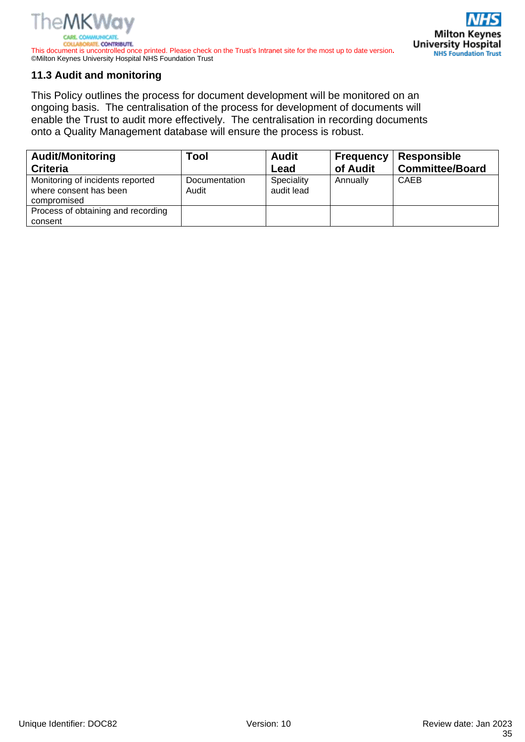



### <span id="page-34-0"></span>**11.3 Audit and monitoring**

This Policy outlines the process for document development will be monitored on an ongoing basis. The centralisation of the process for development of documents will enable the Trust to audit more effectively. The centralisation in recording documents onto a Quality Management database will ensure the process is robust.

| <b>Audit/Monitoring</b>                                                   | Tool                   | <b>Audit</b>             | <b>Frequency</b> | <b>Responsible</b>     |
|---------------------------------------------------------------------------|------------------------|--------------------------|------------------|------------------------|
| <b>Criteria</b>                                                           |                        | Lead                     | of Audit         | <b>Committee/Board</b> |
| Monitoring of incidents reported<br>where consent has been<br>compromised | Documentation<br>Audit | Speciality<br>audit lead | Annually         | <b>CAEB</b>            |
| Process of obtaining and recording<br>consent                             |                        |                          |                  |                        |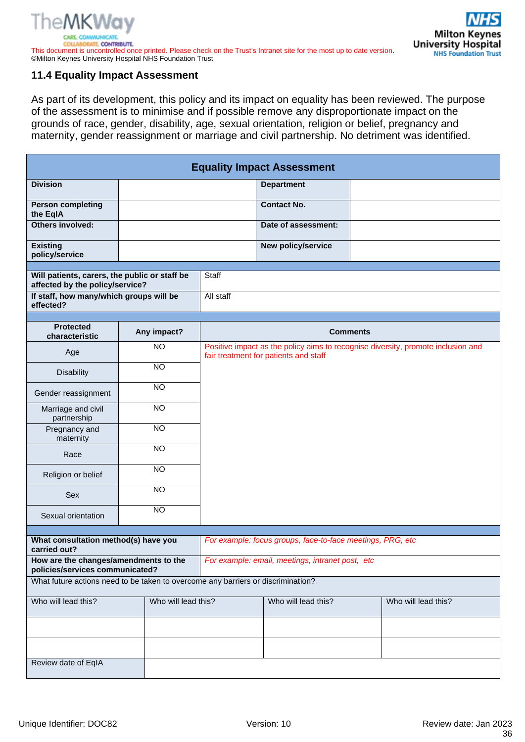

#### <span id="page-35-0"></span>**11.4 Equality Impact Assessment**

As part of its development, this policy and its impact on equality has been reviewed. The purpose of the assessment is to minimise and if possible remove any disproportionate impact on the grounds of race, gender, disability, age, sexual orientation, religion or belief, pregnancy and maternity, gender reassignment or marriage and civil partnership. No detriment was identified.

| <b>Equality Impact Assessment</b>                                                |                 |                                                            |                                       |                                                                                  |  |  |  |
|----------------------------------------------------------------------------------|-----------------|------------------------------------------------------------|---------------------------------------|----------------------------------------------------------------------------------|--|--|--|
| <b>Division</b>                                                                  |                 |                                                            | <b>Department</b>                     |                                                                                  |  |  |  |
| <b>Person completing</b><br>the EqIA                                             |                 |                                                            | <b>Contact No.</b>                    |                                                                                  |  |  |  |
| <b>Others involved:</b>                                                          |                 |                                                            | Date of assessment:                   |                                                                                  |  |  |  |
| <b>Existing</b><br>policy/service                                                |                 |                                                            | New policy/service                    |                                                                                  |  |  |  |
|                                                                                  |                 |                                                            |                                       |                                                                                  |  |  |  |
| Will patients, carers, the public or staff be<br>affected by the policy/service? |                 |                                                            | Staff                                 |                                                                                  |  |  |  |
| If staff, how many/which groups will be<br>effected?                             |                 | All staff                                                  |                                       |                                                                                  |  |  |  |
|                                                                                  |                 |                                                            |                                       |                                                                                  |  |  |  |
| <b>Protected</b><br>characteristic                                               | Any impact?     |                                                            | <b>Comments</b>                       |                                                                                  |  |  |  |
| Age                                                                              | <b>NO</b>       |                                                            | fair treatment for patients and staff | Positive impact as the policy aims to recognise diversity, promote inclusion and |  |  |  |
| Disability                                                                       | <b>NO</b>       |                                                            |                                       |                                                                                  |  |  |  |
| Gender reassignment                                                              | <b>NO</b>       |                                                            |                                       |                                                                                  |  |  |  |
| Marriage and civil<br>partnership                                                | $\overline{NO}$ |                                                            |                                       |                                                                                  |  |  |  |
| Pregnancy and<br>maternity                                                       | <b>NO</b>       |                                                            |                                       |                                                                                  |  |  |  |
| Race                                                                             | $\overline{NO}$ |                                                            |                                       |                                                                                  |  |  |  |
| Religion or belief                                                               | <b>NO</b>       |                                                            |                                       |                                                                                  |  |  |  |
| Sex                                                                              | <b>NO</b>       |                                                            |                                       |                                                                                  |  |  |  |
| Sexual orientation                                                               | <b>NO</b>       |                                                            |                                       |                                                                                  |  |  |  |
|                                                                                  |                 |                                                            |                                       |                                                                                  |  |  |  |
| What consultation method(s) have you<br>carried out?                             |                 | For example: focus groups, face-to-face meetings, PRG, etc |                                       |                                                                                  |  |  |  |
| How are the changes/amendments to the<br>policies/services communicated?         |                 | For example: email, meetings, intranet post, etc           |                                       |                                                                                  |  |  |  |
| What future actions need to be taken to overcome any barriers or discrimination? |                 |                                                            |                                       |                                                                                  |  |  |  |
| Who will lead this?<br>Who will lead this?                                       |                 |                                                            | Who will lead this?                   | Who will lead this?                                                              |  |  |  |
|                                                                                  |                 |                                                            |                                       |                                                                                  |  |  |  |
|                                                                                  |                 |                                                            |                                       |                                                                                  |  |  |  |
| Review date of EqIA                                                              |                 |                                                            |                                       |                                                                                  |  |  |  |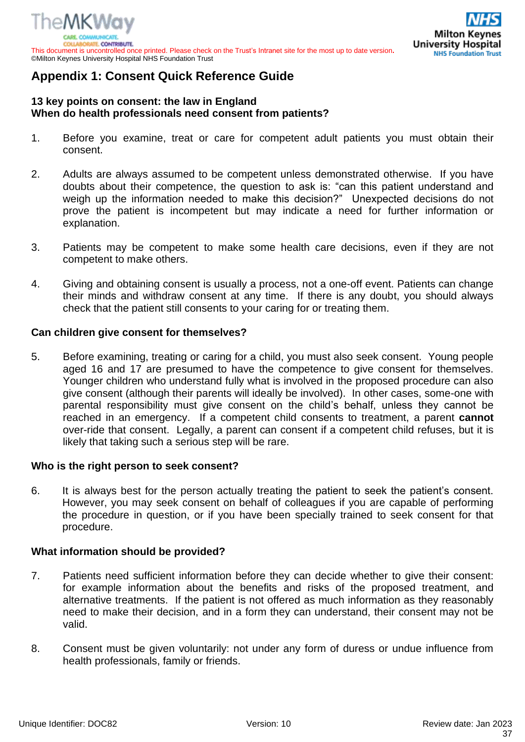

# <span id="page-36-0"></span>**Appendix 1: Consent Quick Reference Guide**

### **13 key points on consent: the law in England When do health professionals need consent from patients?**

- 1. Before you examine, treat or care for competent adult patients you must obtain their consent.
- 2. Adults are always assumed to be competent unless demonstrated otherwise. If you have doubts about their competence, the question to ask is: "can this patient understand and weigh up the information needed to make this decision?" Unexpected decisions do not prove the patient is incompetent but may indicate a need for further information or explanation.
- 3. Patients may be competent to make some health care decisions, even if they are not competent to make others.
- 4. Giving and obtaining consent is usually a process, not a one-off event. Patients can change their minds and withdraw consent at any time. If there is any doubt, you should always check that the patient still consents to your caring for or treating them.

### **Can children give consent for themselves?**

5. Before examining, treating or caring for a child, you must also seek consent. Young people aged 16 and 17 are presumed to have the competence to give consent for themselves. Younger children who understand fully what is involved in the proposed procedure can also give consent (although their parents will ideally be involved). In other cases, some-one with parental responsibility must give consent on the child's behalf, unless they cannot be reached in an emergency. If a competent child consents to treatment, a parent **cannot** over-ride that consent. Legally, a parent can consent if a competent child refuses, but it is likely that taking such a serious step will be rare.

### **Who is the right person to seek consent?**

6. It is always best for the person actually treating the patient to seek the patient's consent. However, you may seek consent on behalf of colleagues if you are capable of performing the procedure in question, or if you have been specially trained to seek consent for that procedure.

### **What information should be provided?**

- 7. Patients need sufficient information before they can decide whether to give their consent: for example information about the benefits and risks of the proposed treatment, and alternative treatments. If the patient is not offered as much information as they reasonably need to make their decision, and in a form they can understand, their consent may not be valid.
- 8. Consent must be given voluntarily: not under any form of duress or undue influence from health professionals, family or friends.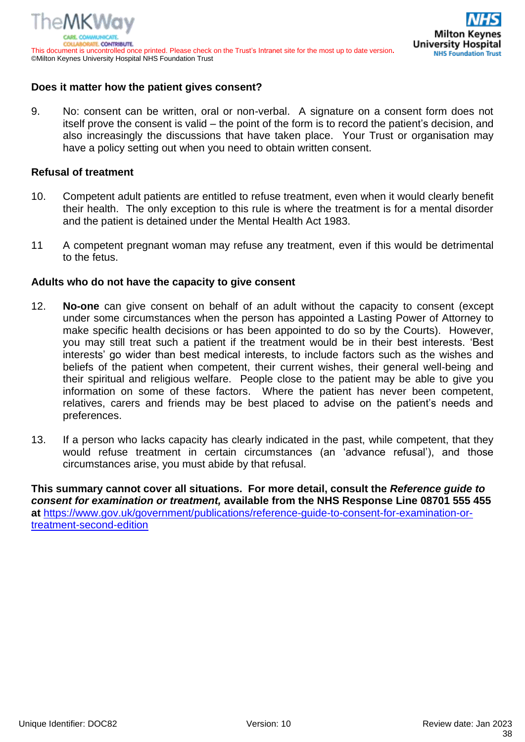



### **Does it matter how the patient gives consent?**

9. No: consent can be written, oral or non-verbal. A signature on a consent form does not itself prove the consent is valid – the point of the form is to record the patient's decision, and also increasingly the discussions that have taken place. Your Trust or organisation may have a policy setting out when you need to obtain written consent.

#### **Refusal of treatment**

- 10. Competent adult patients are entitled to refuse treatment, even when it would clearly benefit their health. The only exception to this rule is where the treatment is for a mental disorder and the patient is detained under the Mental Health Act 1983.
- 11 A competent pregnant woman may refuse any treatment, even if this would be detrimental to the fetus.

#### **Adults who do not have the capacity to give consent**

- 12. **No-one** can give consent on behalf of an adult without the capacity to consent (except under some circumstances when the person has appointed a Lasting Power of Attorney to make specific health decisions or has been appointed to do so by the Courts). However, you may still treat such a patient if the treatment would be in their best interests. 'Best interests' go wider than best medical interests, to include factors such as the wishes and beliefs of the patient when competent, their current wishes, their general well-being and their spiritual and religious welfare. People close to the patient may be able to give you information on some of these factors. Where the patient has never been competent, relatives, carers and friends may be best placed to advise on the patient's needs and preferences.
- 13. If a person who lacks capacity has clearly indicated in the past, while competent, that they would refuse treatment in certain circumstances (an 'advance refusal'), and those circumstances arise, you must abide by that refusal.

**This summary cannot cover all situations. For more detail, consult the** *Reference guide to consent for examination or treatment,* **available from the NHS Response Line 08701 555 455 at** [https://www.gov.uk/government/publications/reference-guide-to-consent-for-examination-or](https://www.gov.uk/government/publications/reference-guide-to-consent-for-examination-or-treatment-second-edition)[treatment-second-edition](https://www.gov.uk/government/publications/reference-guide-to-consent-for-examination-or-treatment-second-edition)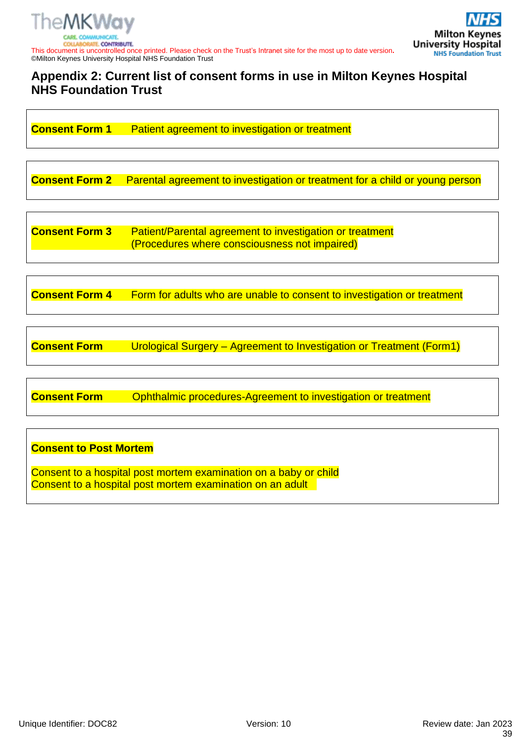

©Milton Keynes University Hospital NHS Foundation Trust

**Milton Key University Hospital NHS Foundation Trust** 

# <span id="page-38-0"></span>**Appendix 2: Current list of consent forms in use in Milton Keynes Hospital NHS Foundation Trust**

**Consent Form 1** Patient agreement to investigation or treatment

**Consent Form 2** Parental agreement to investigation or treatment for a child or young person

**Consent Form 3** Patient/Parental agreement to investigation or treatment (Procedures where consciousness not impaired)

**Consent Form 4** Form for adults who are unable to consent to investigation or treatment

**Consent Form** Urological Surgery – Agreement to Investigation or Treatment (Form1)

**Consent Form Continualmic procedures-Agreement to investigation or treatment** 

**Consent to Post Mortem**

Consent to a hospital post mortem examination on a baby or child Consent to a hospital post mortem examination on an adult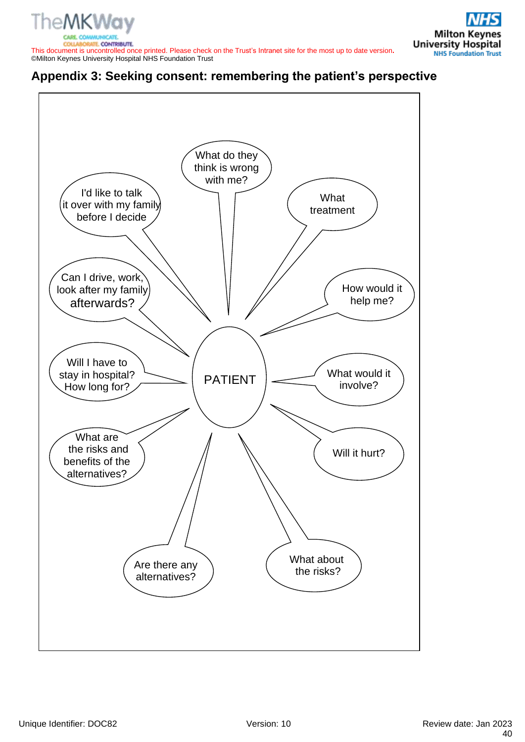# <span id="page-39-0"></span>**Appendix 3: Seeking consent: remembering the patient's perspective**

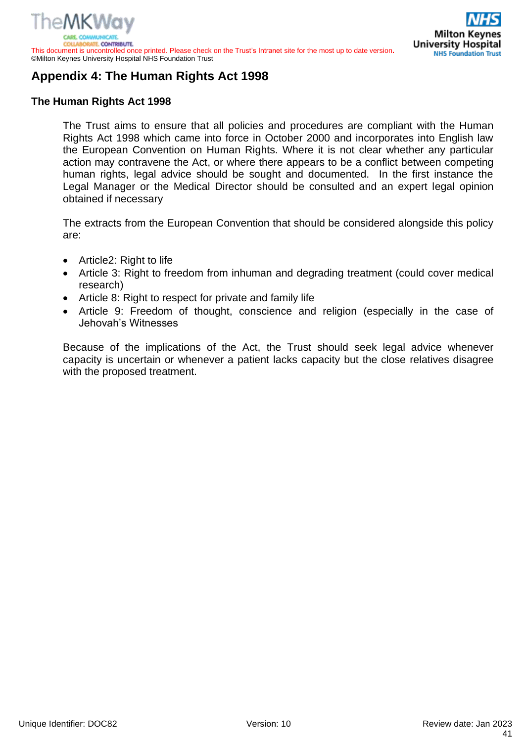



# <span id="page-40-0"></span>**Appendix 4: The Human Rights Act 1998**

### **The Human Rights Act 1998**

The Trust aims to ensure that all policies and procedures are compliant with the Human Rights Act 1998 which came into force in October 2000 and incorporates into English law the European Convention on Human Rights. Where it is not clear whether any particular action may contravene the Act, or where there appears to be a conflict between competing human rights, legal advice should be sought and documented. In the first instance the Legal Manager or the Medical Director should be consulted and an expert legal opinion obtained if necessary

The extracts from the European Convention that should be considered alongside this policy are:

- Article2: Right to life
- Article 3: Right to freedom from inhuman and degrading treatment (could cover medical research)
- Article 8: Right to respect for private and family life
- Article 9: Freedom of thought, conscience and religion (especially in the case of Jehovah's Witnesses

Because of the implications of the Act, the Trust should seek legal advice whenever capacity is uncertain or whenever a patient lacks capacity but the close relatives disagree with the proposed treatment.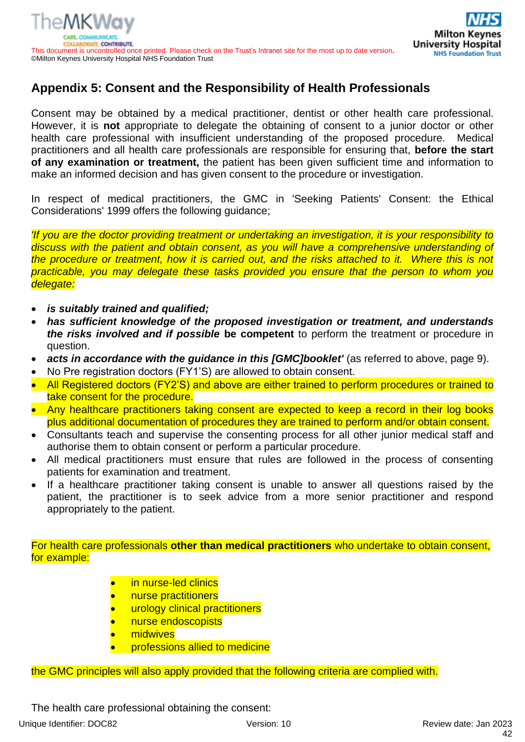# <span id="page-41-0"></span>**Appendix 5: Consent and the Responsibility of Health Professionals**

Consent may be obtained by a medical practitioner, dentist or other health care professional. However, it is **not** appropriate to delegate the obtaining of consent to a junior doctor or other health care professional with insufficient understanding of the proposed procedure. Medical practitioners and all health care professionals are responsible for ensuring that, **before the start of any examination or treatment,** the patient has been given sufficient time and information to make an informed decision and has given consent to the procedure or investigation.

In respect of medical practitioners, the GMC in 'Seeking Patients' Consent: the Ethical Considerations' 1999 offers the following guidance;

*'If you are the doctor providing treatment or undertaking an investigation, it is your responsibility to discuss with the patient and obtain consent, as you will have a comprehensive understanding of the procedure or treatment, how it is carried out, and the risks attached to it. Where this is not practicable, you may delegate these tasks provided you ensure that the person to whom you delegate:*

- *is suitably trained and qualified;*
- *has sufficient knowledge of the proposed investigation or treatment, and understands the risks involved and if possible* **be competent** to perform the treatment or procedure in question.
- *acts in accordance with the guidance in this [GMC]booklet'* (as referred to above, page 9).
- No Pre registration doctors (FY1'S) are allowed to obtain consent.
- All Registered doctors (FY2'S) and above are either trained to perform procedures or trained to take consent for the procedure.
- Any healthcare practitioners taking consent are expected to keep a record in their log books plus additional documentation of procedures they are trained to perform and/or obtain consent.
- Consultants teach and supervise the consenting process for all other junior medical staff and authorise them to obtain consent or perform a particular procedure.
- All medical practitioners must ensure that rules are followed in the process of consenting patients for examination and treatment.
- If a healthcare practitioner taking consent is unable to answer all questions raised by the patient, the practitioner is to seek advice from a more senior practitioner and respond appropriately to the patient.

For health care professionals **other than medical practitioners** who undertake to obtain consent, for example:

- in nurse-led clinics
- nurse practitioners
- urology clinical practitioners
- nurse endoscopists
- midwives
- professions allied to medicine

the GMC principles will also apply provided that the following criteria are complied with.

The health care professional obtaining the consent: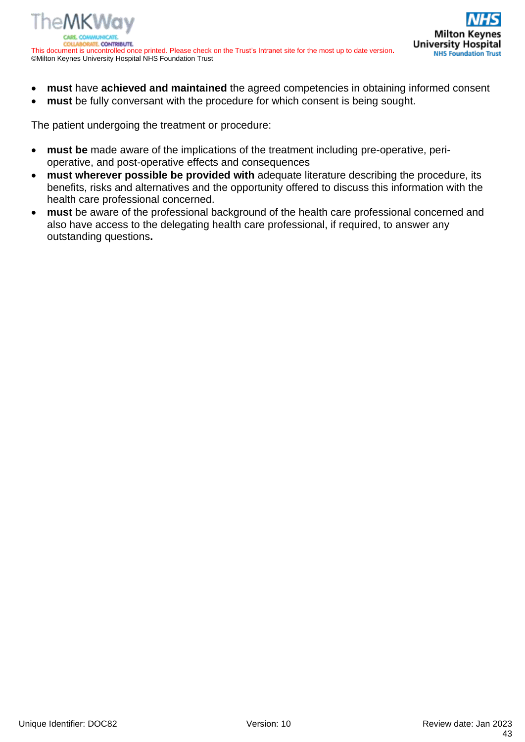

- **must** have **achieved and maintained** the agreed competencies in obtaining informed consent
- must be fully conversant with the procedure for which consent is being sought.

The patient undergoing the treatment or procedure:

- **must be** made aware of the implications of the treatment including pre-operative, perioperative, and post-operative effects and consequences
- **must wherever possible be provided with** adequate literature describing the procedure, its benefits, risks and alternatives and the opportunity offered to discuss this information with the health care professional concerned.
- **must** be aware of the professional background of the health care professional concerned and also have access to the delegating health care professional, if required, to answer any outstanding questions**.**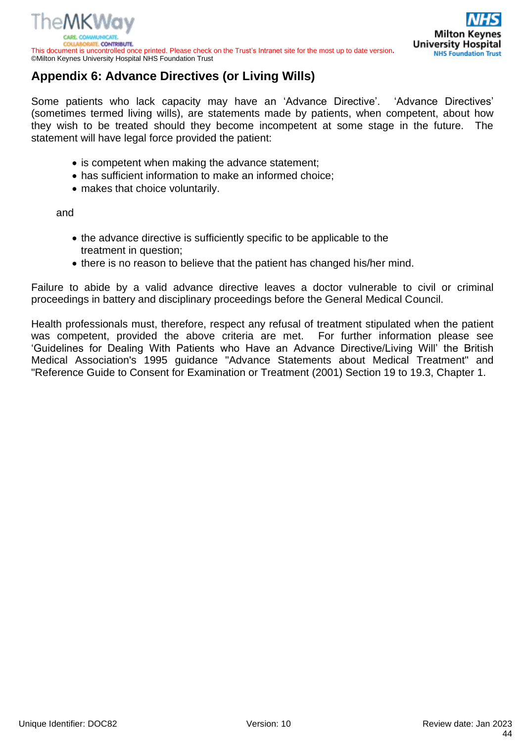

# <span id="page-43-0"></span>**Appendix 6: Advance Directives (or Living Wills)**

Some patients who lack capacity may have an 'Advance Directive'. 'Advance Directives' (sometimes termed living wills), are statements made by patients, when competent, about how they wish to be treated should they become incompetent at some stage in the future. The statement will have legal force provided the patient:

- is competent when making the advance statement;
- has sufficient information to make an informed choice;
- makes that choice voluntarily.

and

- the advance directive is sufficiently specific to be applicable to the treatment in question;
- there is no reason to believe that the patient has changed his/her mind.

Failure to abide by a valid advance directive leaves a doctor vulnerable to civil or criminal proceedings in battery and disciplinary proceedings before the General Medical Council.

Health professionals must, therefore, respect any refusal of treatment stipulated when the patient was competent, provided the above criteria are met. For further information please see 'Guidelines for Dealing With Patients who Have an Advance Directive/Living Will' the British Medical Association's 1995 guidance "Advance Statements about Medical Treatment" and "Reference Guide to Consent for Examination or Treatment (2001) Section 19 to 19.3, Chapter 1.